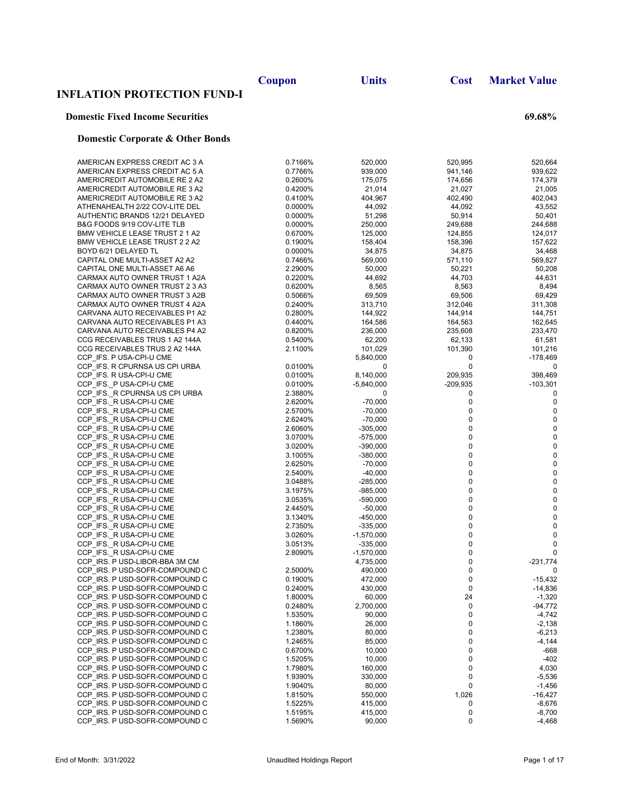|                                                                  | Coupon             | <b>Units</b>             | <b>Cost</b>       | <b>Market Value</b>    |
|------------------------------------------------------------------|--------------------|--------------------------|-------------------|------------------------|
| <b>INFLATION PROTECTION FUND-I</b>                               |                    |                          |                   |                        |
| <b>Domestic Fixed Income Securities</b>                          |                    |                          |                   | 69.68%                 |
| <b>Domestic Corporate &amp; Other Bonds</b>                      |                    |                          |                   |                        |
| AMERICAN EXPRESS CREDIT AC 3 A                                   | 0.7166%            | 520,000                  | 520,995           | 520,664                |
| AMERICAN EXPRESS CREDIT AC 5 A                                   | 0.7766%            | 939,000                  | 941,146           | 939,622                |
| AMERICREDIT AUTOMOBILE RE 2 A2                                   | 0.2600%            | 175,075                  | 174,656           | 174,379                |
| AMERICREDIT AUTOMOBILE RE 3 A2                                   | 0.4200%            | 21,014                   | 21,027            | 21,005                 |
| AMERICREDIT AUTOMOBILE RE 3 A2                                   | 0.4100%            | 404,967                  | 402,490           | 402,043                |
| ATHENAHEALTH 2/22 COV-LITE DEL<br>AUTHENTIC BRANDS 12/21 DELAYED | 0.0000%<br>0.0000% | 44,092<br>51,298         | 44,092<br>50,914  | 43,552<br>50,401       |
| B&G FOODS 9/19 COV-LITE TLB                                      | 0.0000%            | 250,000                  | 249,688           | 244,688                |
| BMW VEHICLE LEASE TRUST 2 1 A2                                   | 0.6700%            | 125,000                  | 124,855           | 124,017                |
| BMW VEHICLE LEASE TRUST 2 2 A2                                   | 0.1900%            | 158,404                  | 158,396           | 157,622                |
| BOYD 6/21 DELAYED TL                                             | 0.0000%            | 34,875                   | 34,875            | 34,468                 |
| CAPITAL ONE MULTI-ASSET A2 A2                                    | 0.7466%            | 569,000                  | 571,110           | 569,827                |
| CAPITAL ONE MULTI-ASSET A6 A6<br>CARMAX AUTO OWNER TRUST 1 A2A   | 2.2900%<br>0.2200% | 50,000<br>44,692         | 50,221<br>44,703  | 50,208<br>44,631       |
| CARMAX AUTO OWNER TRUST 2 3 A3                                   | 0.6200%            | 8,565                    | 8,563             | 8,494                  |
| CARMAX AUTO OWNER TRUST 3 A2B                                    | 0.5066%            | 69,509                   | 69,506            | 69,429                 |
| CARMAX AUTO OWNER TRUST 4 A2A                                    | 0.2400%            | 313,710                  | 312,046           | 311,308                |
| CARVANA AUTO RECEIVABLES P1 A2                                   | 0.2800%            | 144,922                  | 144,914           | 144,751                |
| CARVANA AUTO RECEIVABLES P1 A3                                   | 0.4400%            | 164,586                  | 164,563           | 162,645                |
| CARVANA AUTO RECEIVABLES P4 A2                                   | 0.8200%            | 236,000                  | 235,608           | 233,470                |
| CCG RECEIVABLES TRUS 1 A2 144A<br>CCG RECEIVABLES TRUS 2 A2 144A | 0.5400%<br>2.1100% | 62,200<br>101,029        | 62,133<br>101,390 | 61,581<br>101,216      |
| CCP IFS. P USA-CPI-U CME                                         |                    | 5,840,000                | 0                 | $-178,469$             |
| CCP IFS. R CPURNSA US CPI URBA                                   | 0.0100%            | 0                        | $\mathbf 0$       | 0                      |
| CCP IFS. R USA-CPI-U CME                                         | 0.0100%            | 8,140,000                | 209,935           | 398,469                |
| CCP IFS. P USA-CPI-U CME                                         | 0.0100%            | $-5,840,000$             | $-209,935$        | $-103,301$             |
| CCP IFS. R CPURNSA US CPI URBA                                   | 2.3880%            | 0                        | 0                 | 0                      |
| CCP_IFS._R USA-CPI-U CME<br>CCP IFS. R USA-CPI-U CME             | 2.6200%<br>2.5700% | $-70,000$<br>$-70,000$   | 0<br>0            | $\mathbf 0$<br>0       |
| CCP_IFS._R USA-CPI-U CME                                         | 2.6240%            | $-70,000$                | 0                 | $\pmb{0}$              |
| CCP_IFS._R USA-CPI-U CME                                         | 2.6060%            | -305,000                 | 0                 | $\pmb{0}$              |
| CCP IFS. R USA-CPI-U CME                                         | 3.0700%            | -575,000                 | $\pmb{0}$         | $\pmb{0}$              |
| CCP_IFS._R USA-CPI-U CME                                         | 3.0200%            | $-390,000$               | 0                 | 0                      |
| CCP_IFS._R USA-CPI-U CME                                         | 3.1005%            | $-380,000$               | 0                 | 0                      |
| CCP_IFS._R USA-CPI-U CME<br>CCP IFS. R USA-CPI-U CME             | 2.6250%<br>2.5400% | $-70,000$<br>$-40,000$   | 0<br>0            | $\pmb{0}$<br>$\pmb{0}$ |
| CCP IFS. R USA-CPI-U CME                                         | 3.0488%            | $-285,000$               | 0                 | $\pmb{0}$              |
| CCP_IFS._R USA-CPI-U CME                                         | 3.1975%            | $-985,000$               | 0                 | $\pmb{0}$              |
| CCP_IFS._R USA-CPI-U CME                                         | 3.0535%            | $-590,000$               | 0                 | $\mathbf 0$            |
| CCP IFS. R USA-CPI-U CME                                         | 2.4450%            | $-50,000$                | 0                 | $\pmb{0}$              |
| CCP_IFS._R USA-CPI-U CME                                         | 3.1340%            | -450,000                 | 0                 | $\mathbf 0$            |
| CCP_IFS._R USA-CPI-U CME<br>CCP IFS. R USA-CPI-U CME             | 2.7350%            | -335,000                 | 0                 | 0                      |
| CCP IFS. R USA-CPI-U CME                                         | 3.0260%<br>3.0513% | $-1,570,000$<br>-335,000 | 0<br>0            | 0<br>0                 |
| CCP_IFS._R USA-CPI-U CME                                         | 2.8090%            | $-1,570,000$             | 0                 | 0                      |
| CCP IRS. P USD-LIBOR-BBA 3M CM                                   |                    | 4,735,000                | 0                 | $-231,774$             |
| CCP_IRS. P USD-SOFR-COMPOUND C                                   | 2.5000%            | 490,000                  | 0                 | 0                      |
| CCP IRS. P USD-SOFR-COMPOUND C                                   | 0.1900%            | 472,000                  | 0                 | $-15,432$              |
| CCP IRS. P USD-SOFR-COMPOUND C                                   | 0.2400%            | 430,000                  | 0                 | $-14,836$              |
| CCP_IRS. P USD-SOFR-COMPOUND C<br>CCP IRS. P USD-SOFR-COMPOUND C | 1.8000%<br>0.2480% | 60,000<br>2,700,000      | 24<br>0           | $-1,320$<br>$-94,772$  |
| CCP IRS. P USD-SOFR-COMPOUND C                                   | 1.5350%            | 90,000                   | 0                 | $-4,742$               |
| CCP_IRS. P USD-SOFR-COMPOUND C                                   | 1.1860%            | 26,000                   | 0                 | $-2,138$               |
| CCP IRS. P USD-SOFR-COMPOUND C                                   | 1.2380%            | 80,000                   | 0                 | $-6,213$               |
| CCP IRS. P USD-SOFR-COMPOUND C                                   | 1.2465%            | 85,000                   | 0                 | -4,144                 |
| CCP IRS. P USD-SOFR-COMPOUND C                                   | 0.6700%            | 10,000                   | 0                 | -668                   |
| CCP IRS. P USD-SOFR-COMPOUND C                                   | 1.5205%            | 10,000                   | 0                 | $-402$                 |
| CCP_IRS. P USD-SOFR-COMPOUND C<br>CCP_IRS. P USD-SOFR-COMPOUND C | 1.7980%<br>1.9390% | 160,000<br>330,000       | 0<br>0            | 4,030<br>$-5,536$      |
| CCP IRS. P USD-SOFR-COMPOUND C                                   | 1.9040%            | 80,000                   | 0                 | $-1,456$               |
| CCP_IRS. P USD-SOFR-COMPOUND C                                   | 1.8150%            | 550,000                  | 1,026             | -16,427                |
| CCP IRS. P USD-SOFR-COMPOUND C                                   | 1.5225%            | 415,000                  | 0                 | $-8,676$               |
| CCP IRS. P USD-SOFR-COMPOUND C                                   | 1.5195%            | 415,000                  | 0                 | $-8,700$               |
| CCP_IRS. P USD-SOFR-COMPOUND C                                   | 1.5690%            | 90,000                   | 0                 | $-4,468$               |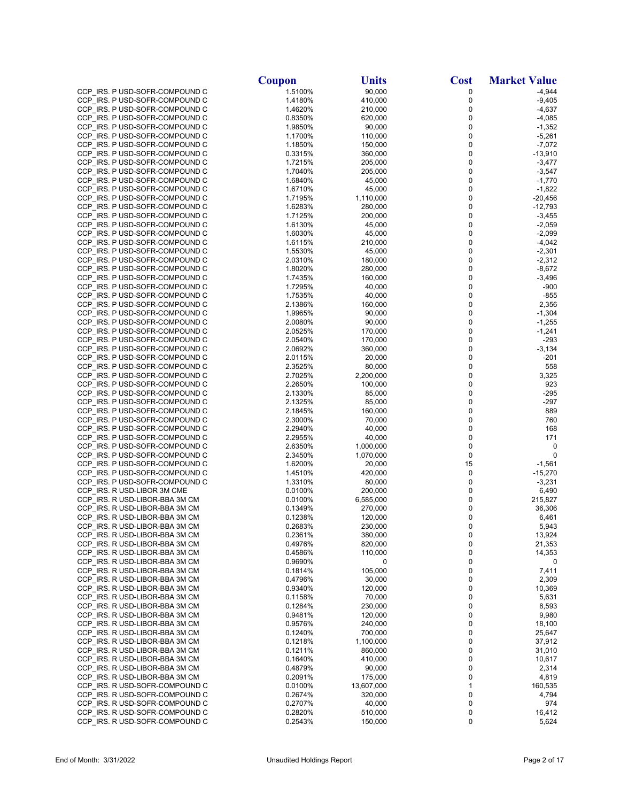|                                                                  | Coupon             | <b>Units</b>           | <b>Cost</b>            | <b>Market Value</b>   |
|------------------------------------------------------------------|--------------------|------------------------|------------------------|-----------------------|
| CCP IRS. P USD-SOFR-COMPOUND C                                   | 1.5100%            | 90,000                 | 0                      | $-4,944$              |
| CCP IRS. P USD-SOFR-COMPOUND C                                   | 1.4180%            | 410,000                | $\pmb{0}$              | $-9,405$              |
| CCP IRS. P USD-SOFR-COMPOUND C                                   | 1.4620%            | 210,000                | 0                      | $-4,637$              |
| CCP IRS. P USD-SOFR-COMPOUND C                                   | 0.8350%            | 620,000                | 0                      | $-4,085$              |
| CCP_IRS. P USD-SOFR-COMPOUND C                                   | 1.9850%            | 90,000                 | 0                      | $-1,352$              |
| CCP IRS. P USD-SOFR-COMPOUND C<br>CCP IRS. P USD-SOFR-COMPOUND C | 1.1700%            | 110,000                | 0<br>0                 | $-5,261$              |
| CCP IRS. P USD-SOFR-COMPOUND C                                   | 1.1850%<br>0.3315% | 150,000<br>360,000     | $\pmb{0}$              | $-7,072$<br>$-13,910$ |
| CCP_IRS. P USD-SOFR-COMPOUND C                                   | 1.7215%            | 205,000                | 0                      | $-3,477$              |
| CCP_IRS. P USD-SOFR-COMPOUND C                                   | 1.7040%            | 205,000                | 0                      | $-3,547$              |
| CCP_IRS. P USD-SOFR-COMPOUND C                                   | 1.6840%            | 45,000                 | 0                      | $-1,770$              |
| CCP IRS. P USD-SOFR-COMPOUND C                                   | 1.6710%            | 45,000                 | 0                      | $-1,822$              |
| CCP IRS. P USD-SOFR-COMPOUND C                                   | 1.7195%            | 1,110,000              | 0                      | $-20,456$             |
| CCP IRS. P USD-SOFR-COMPOUND C                                   | 1.6283%            | 280,000                | $\pmb{0}$              | $-12,793$             |
| CCP_IRS. P USD-SOFR-COMPOUND C                                   | 1.7125%            | 200,000                | $\pmb{0}$              | $-3,455$              |
| CCP_IRS. P USD-SOFR-COMPOUND C                                   | 1.6130%            | 45,000                 | 0                      | $-2,059$              |
| CCP IRS. P USD-SOFR-COMPOUND C                                   | 1.6030%            | 45,000                 | $\pmb{0}$              | $-2,099$              |
| CCP IRS. P USD-SOFR-COMPOUND C<br>CCP_IRS. P USD-SOFR-COMPOUND C | 1.6115%<br>1.5530% | 210,000<br>45,000      | 0<br>$\pmb{0}$         | $-4,042$<br>$-2,301$  |
| CCP IRS. P USD-SOFR-COMPOUND C                                   | 2.0310%            | 180,000                | $\mathbf 0$            | $-2,312$              |
| CCP_IRS. P USD-SOFR-COMPOUND C                                   | 1.8020%            | 280,000                | $\pmb{0}$              | $-8,672$              |
| CCP IRS. P USD-SOFR-COMPOUND C                                   | 1.7435%            | 160,000                | $\mathbf 0$            | $-3,496$              |
| CCP IRS. P USD-SOFR-COMPOUND C                                   | 1.7295%            | 40,000                 | $\pmb{0}$              | $-900$                |
| CCP IRS. P USD-SOFR-COMPOUND C                                   | 1.7535%            | 40,000                 | 0                      | $-855$                |
| CCP IRS. P USD-SOFR-COMPOUND C                                   | 2.1386%            | 160,000                | $\pmb{0}$              | 2,356                 |
| CCP_IRS. P USD-SOFR-COMPOUND C                                   | 1.9965%            | 90,000                 | 0                      | $-1,304$              |
| CCP_IRS. P USD-SOFR-COMPOUND C                                   | 2.0080%            | 90,000                 | $\pmb{0}$              | $-1,255$              |
| CCP IRS. P USD-SOFR-COMPOUND C                                   | 2.0525%            | 170,000                | $\pmb{0}$              | $-1,241$              |
| CCP_IRS. P USD-SOFR-COMPOUND C                                   | 2.0540%            | 170,000<br>360,000     | 0                      | $-293$                |
| CCP IRS. P USD-SOFR-COMPOUND C<br>CCP IRS. P USD-SOFR-COMPOUND C | 2.0692%<br>2.0115% | 20,000                 | $\pmb{0}$<br>0         | $-3,134$<br>$-201$    |
| CCP_IRS. P USD-SOFR-COMPOUND C                                   | 2.3525%            | 80,000                 | $\pmb{0}$              | 558                   |
| CCP IRS. P USD-SOFR-COMPOUND C                                   | 2.7025%            | 2,200,000              | $\pmb{0}$              | 3,325                 |
| CCP_IRS. P USD-SOFR-COMPOUND C                                   | 2.2650%            | 100,000                | $\pmb{0}$              | 923                   |
| CCP_IRS. P USD-SOFR-COMPOUND C                                   | 2.1330%            | 85,000                 | 0                      | $-295$                |
| CCP IRS. P USD-SOFR-COMPOUND C                                   | 2.1325%            | 85,000                 | $\pmb{0}$              | -297                  |
| CCP_IRS. P USD-SOFR-COMPOUND C                                   | 2.1845%            | 160,000                | 0                      | 889                   |
| CCP_IRS. P USD-SOFR-COMPOUND C                                   | 2.3000%            | 70,000                 | $\pmb{0}$              | 760                   |
| CCP IRS. P USD-SOFR-COMPOUND C                                   | 2.2940%            | 40,000                 | $\pmb{0}$              | 168                   |
| CCP_IRS. P USD-SOFR-COMPOUND C                                   | 2.2955%            | 40,000                 | $\pmb{0}$<br>$\pmb{0}$ | 171                   |
| CCP_IRS. P USD-SOFR-COMPOUND C<br>CCP IRS. P USD-SOFR-COMPOUND C | 2.6350%<br>2.3450% | 1,000,000<br>1,070,000 | $\mathbf 0$            | 0<br>0                |
| CCP_IRS. P USD-SOFR-COMPOUND C                                   | 1.6200%            | 20,000                 | 15                     | $-1,561$              |
| CCP IRS. P USD-SOFR-COMPOUND C                                   | 1.4510%            | 420,000                | 0                      | $-15,270$             |
| CCP IRS. P USD-SOFR-COMPOUND C                                   | 1.3310%            | 80,000                 | 0                      | $-3,231$              |
| CCP_IRS. R USD-LIBOR 3M CME                                      | 0.0100%            | 200,000                | 0                      | 6,490                 |
| CCP IRS. R USD-LIBOR-BBA 3M CM                                   | 0.0100%            | 6,585,000              | 0                      | 215,827               |
| CCP_IRS. R USD-LIBOR-BBA 3M CM                                   | 0.1349%            | 270,000                | 0                      | 36,306                |
| CCP_IRS. R USD-LIBOR-BBA 3M CM                                   | 0.1238%            | 120,000                | $\pmb{0}$              | 6,461                 |
| CCP IRS. R USD-LIBOR-BBA 3M CM                                   | 0.2683%            | 230,000                | 0                      | 5,943                 |
| CCP IRS. R USD-LIBOR-BBA 3M CM                                   | 0.2361%            | 380,000                | 0                      | 13,924                |
| CCP_IRS. R USD-LIBOR-BBA 3M CM<br>CCP IRS. R USD-LIBOR-BBA 3M CM | 0.4976%<br>0.4586% | 820,000<br>110,000     | 0<br>0                 | 21,353<br>14,353      |
| CCP_IRS. R USD-LIBOR-BBA 3M CM                                   | 0.9690%            | 0                      | 0                      | 0                     |
| CCP_IRS. R USD-LIBOR-BBA 3M CM                                   | 0.1814%            | 105,000                | 0                      | 7,411                 |
| CCP IRS. R USD-LIBOR-BBA 3M CM                                   | 0.4796%            | 30,000                 | 0                      | 2,309                 |
| CCP IRS. R USD-LIBOR-BBA 3M CM                                   | 0.9340%            | 120,000                | 0                      | 10,369                |
| CCP IRS. R USD-LIBOR-BBA 3M CM                                   | 0.1158%            | 70,000                 | 0                      | 5,631                 |
| CCP_IRS. R USD-LIBOR-BBA 3M CM                                   | 0.1284%            | 230,000                | 0                      | 8,593                 |
| CCP IRS. R USD-LIBOR-BBA 3M CM                                   | 0.9481%            | 120,000                | 0                      | 9,980                 |
| CCP_IRS. R USD-LIBOR-BBA 3M CM                                   | 0.9576%            | 240,000                | 0                      | 18,100                |
| CCP_IRS. R USD-LIBOR-BBA 3M CM                                   | 0.1240%            | 700,000                | 0                      | 25,647                |
| CCP_IRS. R USD-LIBOR-BBA 3M CM<br>CCP IRS. R USD-LIBOR-BBA 3M CM | 0.1218%<br>0.1211% | 1,100,000<br>860,000   | 0<br>0                 | 37,912<br>31,010      |
| CCP_IRS. R USD-LIBOR-BBA 3M CM                                   | 0.1640%            | 410,000                | 0                      | 10,617                |
| CCP_IRS. R USD-LIBOR-BBA 3M CM                                   | 0.4879%            | 90,000                 | 0                      | 2,314                 |
| CCP IRS. R USD-LIBOR-BBA 3M CM                                   | 0.2091%            | 175,000                | 0                      | 4,819                 |
| CCP_IRS. R USD-SOFR-COMPOUND C                                   | 0.0100%            | 13,607,000             | 1                      | 160,535               |
| CCP IRS. R USD-SOFR-COMPOUND C                                   | 0.2674%            | 320,000                | 0                      | 4,794                 |
| CCP_IRS. R USD-SOFR-COMPOUND C                                   | 0.2707%            | 40,000                 | 0                      | 974                   |
| CCP_IRS. R USD-SOFR-COMPOUND C                                   | 0.2820%            | 510,000                | 0                      | 16,412                |
| CCP IRS. R USD-SOFR-COMPOUND C                                   | 0.2543%            | 150,000                | 0                      | 5,624                 |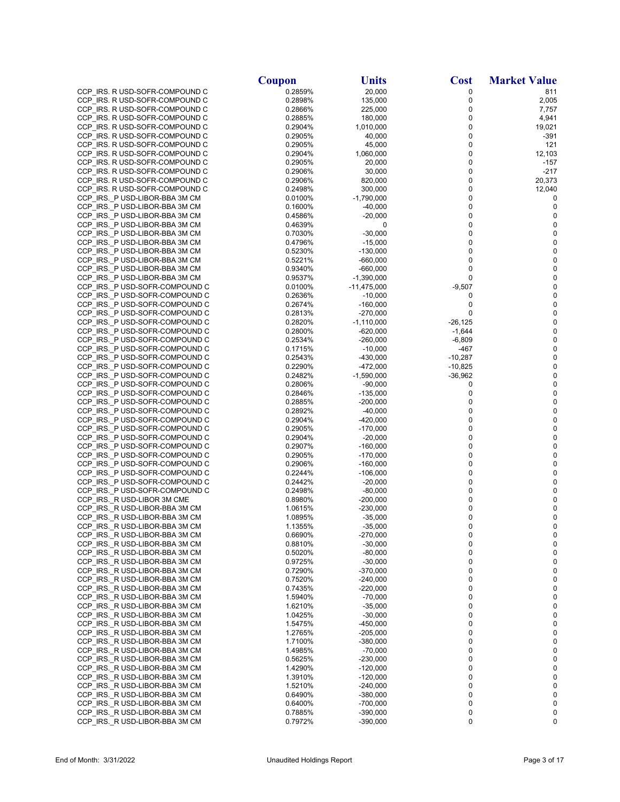|                                                                  | <b>Coupon</b>      | <b>Units</b>             | <b>Cost</b>            | <b>Market Value</b>    |
|------------------------------------------------------------------|--------------------|--------------------------|------------------------|------------------------|
| CCP_IRS. R USD-SOFR-COMPOUND C                                   | 0.2859%            | 20,000                   | 0                      | 811                    |
| CCP IRS. R USD-SOFR-COMPOUND C                                   | 0.2898%            | 135,000                  | 0                      | 2,005                  |
| CCP IRS. R USD-SOFR-COMPOUND C                                   | 0.2866%            | 225,000                  | 0                      | 7,757                  |
| CCP IRS. R USD-SOFR-COMPOUND C                                   | 0.2885%            | 180,000                  | 0                      | 4,941                  |
| CCP IRS. R USD-SOFR-COMPOUND C                                   | 0.2904%            | 1,010,000                | 0                      | 19,021                 |
| CCP IRS. R USD-SOFR-COMPOUND C                                   | 0.2905%            | 40,000                   | 0<br>0                 | -391                   |
| CCP_IRS. R USD-SOFR-COMPOUND C<br>CCP_IRS. R USD-SOFR-COMPOUND C | 0.2905%<br>0.2904% | 45,000<br>1,060,000      | 0                      | 121<br>12,103          |
| CCP_IRS. R USD-SOFR-COMPOUND C                                   | 0.2905%            | 20,000                   | 0                      | $-157$                 |
| CCP_IRS. R USD-SOFR-COMPOUND C                                   | 0.2906%            | 30,000                   | 0                      | $-217$                 |
| CCP_IRS. R USD-SOFR-COMPOUND C                                   | 0.2906%            | 820,000                  | 0                      | 20,373                 |
| CCP_IRS. R USD-SOFR-COMPOUND C                                   | 0.2498%            | 300,000                  | 0                      | 12,040                 |
| CCP_IRS._P USD-LIBOR-BBA 3M CM                                   | 0.0100%            | $-1,790,000$             | 0                      | 0                      |
| CCP_IRS._P USD-LIBOR-BBA 3M CM                                   | 0.1600%            | $-40,000$                | 0                      | 0                      |
| CCP IRS. PUSD-LIBOR-BBA 3M CM                                    | 0.4586%            | $-20,000$                | 0                      | 0                      |
| CCP_IRS._P USD-LIBOR-BBA 3M CM                                   | 0.4639%            | 0                        | 0                      | 0                      |
| CCP IRS. P USD-LIBOR-BBA 3M CM                                   | 0.7030%            | $-30,000$                | 0                      | $\pmb{0}$<br>$\pmb{0}$ |
| CCP_IRS._P USD-LIBOR-BBA 3M CM<br>CCP_IRS._P USD-LIBOR-BBA 3M CM | 0.4796%<br>0.5230% | $-15,000$<br>$-130,000$  | 0<br>0                 | $\pmb{0}$              |
| CCP_IRS._P USD-LIBOR-BBA 3M CM                                   | 0.5221%            | $-660,000$               | 0                      | $\pmb{0}$              |
| CCP_IRS._P USD-LIBOR-BBA 3M CM                                   | 0.9340%            | $-660,000$               | 0                      | 0                      |
| CCP IRS. P USD-LIBOR-BBA 3M CM                                   | 0.9537%            | $-1,390,000$             | 0                      | $\pmb{0}$              |
| CCP_IRS._P USD-SOFR-COMPOUND C                                   | 0.0100%            | $-11,475,000$            | $-9,507$               | 0                      |
| CCP_IRS._P USD-SOFR-COMPOUND C                                   | 0.2636%            | $-10,000$                | 0                      | $\pmb{0}$              |
| CCP_IRS._P USD-SOFR-COMPOUND C                                   | 0.2674%            | $-160,000$               | 0                      | 0                      |
| CCP_IRS._P USD-SOFR-COMPOUND C                                   | 0.2813%            | -270,000                 | 0                      | $\pmb{0}$              |
| CCP_IRS._P USD-SOFR-COMPOUND C                                   | 0.2820%            | $-1,110,000$             | $-26,125$              | 0                      |
| CCP IRS. P USD-SOFR-COMPOUND C                                   | 0.2800%            | $-620,000$               | $-1,644$               | $\pmb{0}$              |
| CCP_IRS._P USD-SOFR-COMPOUND C                                   | 0.2534%            | $-260,000$               | $-6,809$               | 0                      |
| CCP_IRS._P USD-SOFR-COMPOUND C                                   | 0.1715%            | $-10,000$<br>$-430,000$  | -467                   | $\pmb{0}$<br>$\pmb{0}$ |
| CCP_IRS._P USD-SOFR-COMPOUND C<br>CCP IRS. P USD-SOFR-COMPOUND C | 0.2543%<br>0.2290% | -472,000                 | $-10,287$<br>$-10,825$ | $\pmb{0}$              |
| CCP IRS. P USD-SOFR-COMPOUND C                                   | 0.2482%            | -1,590,000               | $-36,962$              | $\pmb{0}$              |
| CCP_IRS._P USD-SOFR-COMPOUND C                                   | 0.2806%            | $-90,000$                | 0                      | 0                      |
| CCP_IRS._P USD-SOFR-COMPOUND C                                   | 0.2846%            | $-135,000$               | 0                      | 0                      |
| CCP IRS. P USD-SOFR-COMPOUND C                                   | 0.2885%            | $-200,000$               | 0                      | 0                      |
| CCP_IRS._P USD-SOFR-COMPOUND C                                   | 0.2892%            | $-40,000$                | 0                      | 0                      |
| CCP_IRS._P USD-SOFR-COMPOUND C                                   | 0.2904%            | $-420,000$               | 0                      | 0                      |
| CCP IRS. P USD-SOFR-COMPOUND C                                   | 0.2905%            | $-170,000$               | 0                      | 0                      |
| CCP IRS._P USD-SOFR-COMPOUND C                                   | 0.2904%            | $-20,000$                | 0                      | 0                      |
| CCP_IRS._P USD-SOFR-COMPOUND C                                   | 0.2907%            | $-160,000$               | 0<br>0                 | 0<br>0                 |
| CCP IRS. P USD-SOFR-COMPOUND C<br>CCP_IRS._P USD-SOFR-COMPOUND C | 0.2905%<br>0.2906% | $-170,000$<br>$-160,000$ | 0                      | 0                      |
| CCP_IRS._P USD-SOFR-COMPOUND C                                   | 0.2244%            | $-106,000$               | 0                      | $\pmb{0}$              |
| CCP_IRS._P USD-SOFR-COMPOUND C                                   | 0.2442%            | $-20,000$                | 0                      | 0                      |
| CCP_IRS._P USD-SOFR-COMPOUND C                                   | 0.2498%            | $-80,000$                | 0                      | 0                      |
| CCP IRS. R USD-LIBOR 3M CME                                      | 0.8980%            | $-200,000$               | 0                      | 0                      |
| CCP_IRS._R USD-LIBOR-BBA 3M CM                                   | 1.0615%            | $-230,000$               | 0                      | 0                      |
| CCP_IRS._R USD-LIBOR-BBA 3M CM                                   | 1.0895%            | $-35,000$                | 0                      | 0                      |
| CCP_IRS._R USD-LIBOR-BBA 3M CM                                   | 1.1355%            | $-35,000$                | 0                      | 0                      |
| CCP_IRS._R USD-LIBOR-BBA 3M CM                                   | 0.6690%            | -270,000                 | 0                      | 0                      |
| CCP_IRS._R USD-LIBOR-BBA 3M CM                                   | 0.8810%            | $-30,000$                | 0<br>0                 | 0<br>0                 |
| CCP IRS._R USD-LIBOR-BBA 3M CM<br>CCP IRS. R USD-LIBOR-BBA 3M CM | 0.5020%<br>0.9725% | $-80,000$<br>$-30,000$   | 0                      | 0                      |
| CCP IRS. R USD-LIBOR-BBA 3M CM                                   | 0.7290%            | -370,000                 | 0                      | 0                      |
| CCP_IRS._R USD-LIBOR-BBA 3M CM                                   | 0.7520%            | $-240,000$               | 0                      | 0                      |
| CCP_IRS._R USD-LIBOR-BBA 3M CM                                   | 0.7435%            | -220,000                 | 0                      | 0                      |
| CCP_IRS._R USD-LIBOR-BBA 3M CM                                   | 1.5940%            | $-70,000$                | 0                      | 0                      |
| CCP IRS. R USD-LIBOR-BBA 3M CM                                   | 1.6210%            | $-35,000$                | 0                      | 0                      |
| CCP IRS. R USD-LIBOR-BBA 3M CM                                   | 1.0425%            | $-30,000$                | 0                      | 0                      |
| CCP_IRS._R USD-LIBOR-BBA 3M CM                                   | 1.5475%            | -450,000                 | 0                      | 0                      |
| CCP IRS. R USD-LIBOR-BBA 3M CM                                   | 1.2765%            | -205,000                 | 0                      | 0                      |
| CCP_IRS._R USD-LIBOR-BBA 3M CM                                   | 1.7100%            | -380,000                 | 0                      | 0                      |
| CCP_IRS._R USD-LIBOR-BBA 3M CM<br>CCP_IRS._R USD-LIBOR-BBA 3M CM | 1.4985%<br>0.5625% | $-70,000$<br>-230,000    | 0<br>0                 | 0<br>0                 |
| CCP_IRS._R USD-LIBOR-BBA 3M CM                                   | 1.4290%            | $-120,000$               | 0                      | 0                      |
| CCP_IRS._R USD-LIBOR-BBA 3M CM                                   | 1.3910%            | $-120,000$               | 0                      | 0                      |
| CCP_IRS._R USD-LIBOR-BBA 3M CM                                   | 1.5210%            | -240,000                 | 0                      | 0                      |
| CCP_IRS._R USD-LIBOR-BBA 3M CM                                   | 0.6490%            | -380,000                 | 0                      | 0                      |
| CCP_IRS._R USD-LIBOR-BBA 3M CM                                   | 0.6400%            | -700,000                 | 0                      | 0                      |
| CCP_IRS._R USD-LIBOR-BBA 3M CM                                   | 0.7885%            | -390,000                 | 0                      | 0                      |
| CCP_IRS._R USD-LIBOR-BBA 3M CM                                   | 0.7972%            | $-390,000$               | 0                      | 0                      |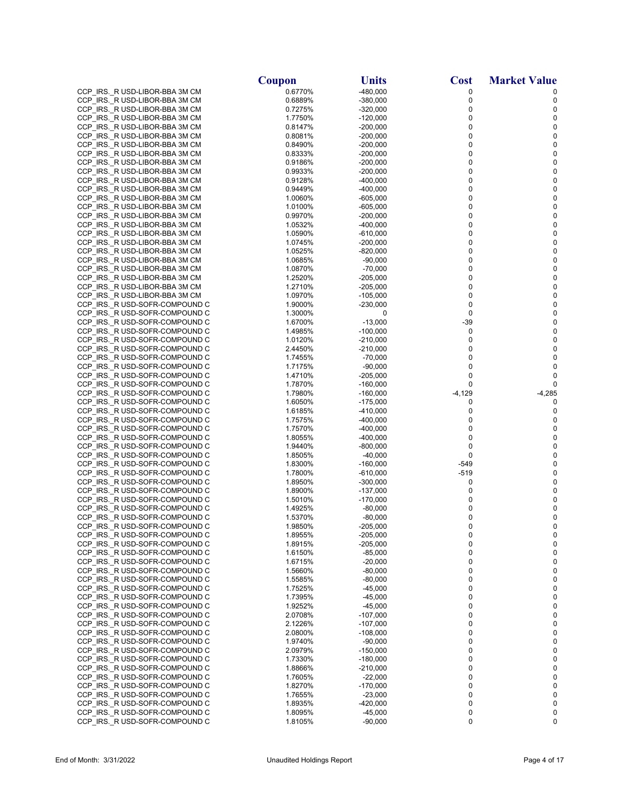|                                                                  | Coupon             | <b>Units</b>             | <b>Cost</b> | <b>Market Value</b> |
|------------------------------------------------------------------|--------------------|--------------------------|-------------|---------------------|
| CCP_IRS._R USD-LIBOR-BBA 3M CM                                   | 0.6770%            | $-480,000$               | 0           | 0                   |
| CCP_IRS._R USD-LIBOR-BBA 3M CM                                   | 0.6889%            | $-380,000$               | 0           | 0                   |
| CCP_IRS._R USD-LIBOR-BBA 3M CM                                   | 0.7275%            | $-320,000$               | 0           | 0                   |
| CCP_IRS._R USD-LIBOR-BBA 3M CM                                   | 1.7750%            | $-120,000$               | 0           | $\pmb{0}$           |
| CCP_IRS._R USD-LIBOR-BBA 3M CM                                   | 0.8147%            | $-200,000$               | 0           | 0                   |
| CCP_IRS._R USD-LIBOR-BBA 3M CM                                   | 0.8081%            | $-200,000$               | 0           | $\mathbf 0$         |
| CCP_IRS._R USD-LIBOR-BBA 3M CM                                   | 0.8490%<br>0.8333% | $-200,000$<br>$-200,000$ | 0<br>0      | 0<br>0              |
| CCP_IRS._R USD-LIBOR-BBA 3M CM<br>CCP IRS._R USD-LIBOR-BBA 3M CM | 0.9186%            | $-200,000$               | 0           | 0                   |
| CCP_IRS._R USD-LIBOR-BBA 3M CM                                   | 0.9933%            | $-200,000$               | 0           | 0                   |
| CCP IRS._R USD-LIBOR-BBA 3M CM                                   | 0.9128%            | $-400,000$               | 0           | $\pmb{0}$           |
| CCP_IRS._R USD-LIBOR-BBA 3M CM                                   | 0.9449%            | $-400,000$               | 0           | 0                   |
| CCP_IRS._R USD-LIBOR-BBA 3M CM                                   | 1.0060%            | $-605,000$               | 0           | $\pmb{0}$           |
| CCP_IRS._R USD-LIBOR-BBA 3M CM                                   | 1.0100%            | $-605,000$               | 0           | 0                   |
| CCP IRS. R USD-LIBOR-BBA 3M CM                                   | 0.9970%            | $-200,000$               | 0           | $\pmb{0}$           |
| CCP_IRS._R USD-LIBOR-BBA 3M CM                                   | 1.0532%            | $-400,000$               | 0           | 0                   |
| CCP_IRS._R USD-LIBOR-BBA 3M CM                                   | 1.0590%            | $-610,000$               | 0           | $\pmb{0}$<br>0      |
| CCP_IRS._R USD-LIBOR-BBA 3M CM<br>CCP_IRS._R USD-LIBOR-BBA 3M CM | 1.0745%<br>1.0525% | $-200,000$<br>$-820,000$ | 0<br>0      | $\pmb{0}$           |
| CCP IRS._R USD-LIBOR-BBA 3M CM                                   | 1.0685%            | $-90,000$                | 0           | 0                   |
| CCP_IRS._R USD-LIBOR-BBA 3M CM                                   | 1.0870%            | $-70,000$                | 0           | 0                   |
| CCP IRS._R USD-LIBOR-BBA 3M CM                                   | 1.2520%            | $-205,000$               | 0           | 0                   |
| CCP_IRS._R USD-LIBOR-BBA 3M CM                                   | 1.2710%            | $-205,000$               | 0           | 0                   |
| CCP_IRS._R USD-LIBOR-BBA 3M CM                                   | 1.0970%            | $-105,000$               | 0           | $\pmb{0}$           |
| CCP_IRS._R USD-SOFR-COMPOUND C                                   | 1.9000%            | $-230,000$               | $\mathbf 0$ | $\pmb{0}$           |
| CCP_IRS._R USD-SOFR-COMPOUND C                                   | 1.3000%            | 0                        | 0           | $\pmb{0}$           |
| CCP_IRS._R USD-SOFR-COMPOUND C                                   | 1.6700%            | $-13,000$                | $-39$       | 0                   |
| CCP_IRS._R USD-SOFR-COMPOUND C                                   | 1.4985%            | $-100,000$               | 0           | $\pmb{0}$           |
| CCP_IRS._R USD-SOFR-COMPOUND C<br>CCP_IRS._R USD-SOFR-COMPOUND C | 1.0120%<br>2.4450% | $-210,000$<br>$-210,000$ | 0<br>0      | 0<br>$\mathbf 0$    |
| CCP_IRS._R USD-SOFR-COMPOUND C                                   | 1.7455%            | $-70,000$                | 0           | 0                   |
| CCP_IRS._R USD-SOFR-COMPOUND C                                   | 1.7175%            | $-90,000$                | 0           | $\mathbf 0$         |
| CCP_IRS._R USD-SOFR-COMPOUND C                                   | 1.4710%            | $-205,000$               | 0           | 0                   |
| CCP_IRS._R USD-SOFR-COMPOUND C                                   | 1.7870%            | $-160,000$               | 0           | 0                   |
| CCP_IRS._R USD-SOFR-COMPOUND C                                   | 1.7980%            | $-160,000$               | -4,129      | $-4,285$            |
| CCP IRS._R USD-SOFR-COMPOUND C                                   | 1.6050%            | $-175,000$               | 0           | 0                   |
| CCP_IRS._R USD-SOFR-COMPOUND C                                   | 1.6185%            | $-410,000$               | 0           | 0                   |
| CCP_IRS._R USD-SOFR-COMPOUND C                                   | 1.7575%            | $-400,000$               | 0           | 0                   |
| CCP_IRS._R USD-SOFR-COMPOUND C<br>CCP_IRS._R USD-SOFR-COMPOUND C | 1.7570%<br>1.8055% | $-400,000$<br>$-400,000$ | 0<br>0      | $\pmb{0}$<br>0      |
| CCP_IRS._R USD-SOFR-COMPOUND C                                   | 1.9440%            | $-800,000$               | 0           | $\pmb{0}$           |
| CCP_IRS._R USD-SOFR-COMPOUND C                                   | 1.8505%            | $-40,000$                | 0           | 0                   |
| CCP_IRS._R USD-SOFR-COMPOUND C                                   | 1.8300%            | $-160,000$               | -549        | $\pmb{0}$           |
| CCP_IRS._R USD-SOFR-COMPOUND C                                   | 1.7800%            | $-610,000$               | -519        | 0                   |
| CCP_IRS._R USD-SOFR-COMPOUND C                                   | 1.8950%            | $-300,000$               | 0           | $\pmb{0}$           |
| CCP_IRS._R USD-SOFR-COMPOUND C                                   | 1.8900%            | $-137,000$               | 0           | 0                   |
| CCP IRS. R USD-SOFR-COMPOUND C                                   | 1.5010%            | $-170,000$               | 0           | 0                   |
| CCP IRS. R USD-SOFR-COMPOUND C                                   | 1.4925%            | $-80,000$                | 0           | $\pmb{0}$           |
| CCP_IRS._R USD-SOFR-COMPOUND C<br>CCP IRS. R USD-SOFR-COMPOUND C | 1.5370%<br>1.9850% | $-80,000$<br>$-205,000$  | 0<br>0      | 0<br>0              |
| CCP_IRS._R USD-SOFR-COMPOUND C                                   | 1.8955%            | $-205,000$               | 0           | 0                   |
| CCP_IRS._R USD-SOFR-COMPOUND C                                   | 1.8915%            | $-205,000$               | 0           | 0                   |
| CCP_IRS._R USD-SOFR-COMPOUND C                                   | 1.6150%            | $-85,000$                | 0           | 0                   |
| CCP_IRS._R USD-SOFR-COMPOUND C                                   | 1.6715%            | $-20,000$                | 0           | $\pmb{0}$           |
| CCP_IRS._R USD-SOFR-COMPOUND C                                   | 1.5660%            | $-80,000$                | 0           | 0                   |
| CCP_IRS._R USD-SOFR-COMPOUND C                                   | 1.5585%            | $-80,000$                | 0           | $\mathbf 0$         |
| CCP_IRS._R USD-SOFR-COMPOUND C                                   | 1.7525%            | -45,000                  | 0           | 0                   |
| CCP_IRS._R USD-SOFR-COMPOUND C                                   | 1.7395%            | $-45,000$                | 0           | 0                   |
| CCP_IRS._R USD-SOFR-COMPOUND C<br>CCP_IRS._R USD-SOFR-COMPOUND C | 1.9252%<br>2.0708% | $-45,000$<br>$-107,000$  | 0<br>0      | 0<br>0              |
| CCP_IRS._R USD-SOFR-COMPOUND C                                   | 2.1226%            | $-107,000$               | 0           | 0                   |
| CCP IRS. R USD-SOFR-COMPOUND C                                   | 2.0800%            | $-108,000$               | 0           | 0                   |
| CCP_IRS._R USD-SOFR-COMPOUND C                                   | 1.9740%            | $-90,000$                | 0           | $\pmb{0}$           |
| CCP_IRS._R USD-SOFR-COMPOUND C                                   | 2.0979%            | $-150,000$               | 0           | 0                   |
| CCP_IRS._R USD-SOFR-COMPOUND C                                   | 1.7330%            | $-180,000$               | 0           | 0                   |
| CCP_IRS._R USD-SOFR-COMPOUND C                                   | 1.8866%            | $-210,000$               | 0           | 0                   |
| CCP_IRS._R USD-SOFR-COMPOUND C                                   | 1.7605%            | $-22,000$                | 0           | 0                   |
| CCP_IRS._R USD-SOFR-COMPOUND C                                   | 1.8270%            | $-170,000$               | 0           | 0                   |
| CCP_IRS._R USD-SOFR-COMPOUND C<br>CCP_IRS._R USD-SOFR-COMPOUND C | 1.7655%<br>1.8935% | $-23,000$<br>$-420,000$  | 0<br>0      | $\mathbf 0$<br>0    |
| CCP_IRS._R USD-SOFR-COMPOUND C                                   | 1.8095%            | $-45,000$                | 0           | 0                   |
| CCP_IRS._R USD-SOFR-COMPOUND C                                   | 1.8105%            | $-90,000$                | 0           | 0                   |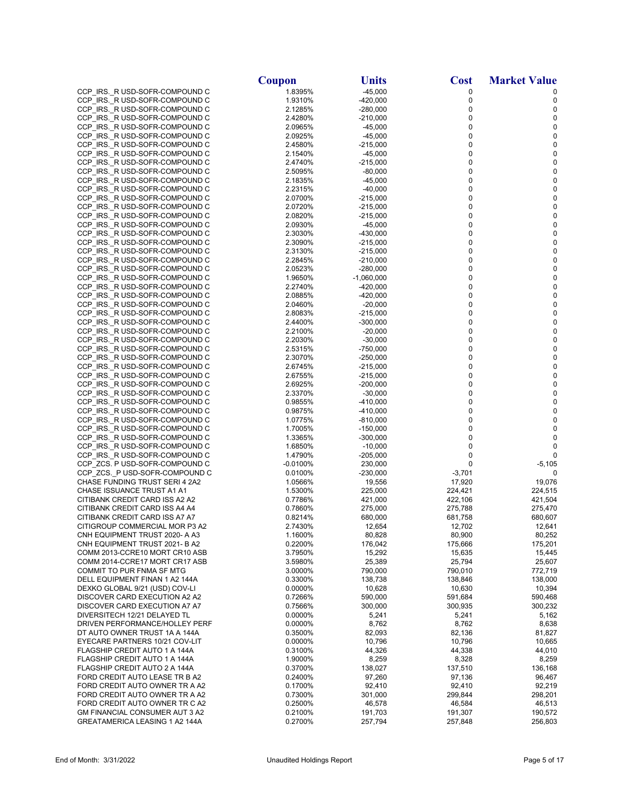|                                                                  | Coupon              | <b>Units</b>             | <b>Cost</b>      | <b>Market Value</b> |
|------------------------------------------------------------------|---------------------|--------------------------|------------------|---------------------|
| CCP_IRS._R USD-SOFR-COMPOUND C                                   | 1.8395%             | $-45,000$                | 0                | 0                   |
| CCP_IRS._R USD-SOFR-COMPOUND C                                   | 1.9310%             | $-420,000$               | 0                | 0                   |
| CCP_IRS._R USD-SOFR-COMPOUND C                                   | 2.1285%             | $-280,000$               | 0                | 0                   |
| CCP_IRS._R USD-SOFR-COMPOUND C                                   | 2.4280%             | $-210,000$               | 0                | 0                   |
| CCP IRS. R USD-SOFR-COMPOUND C                                   | 2.0965%             | $-45,000$                | 0                | 0                   |
| CCP_IRS._R USD-SOFR-COMPOUND C                                   | 2.0925%             | $-45,000$                | 0                | 0                   |
| CCP IRS. R USD-SOFR-COMPOUND C                                   | 2.4580%             | $-215,000$               | 0                | 0                   |
| CCP_IRS._R USD-SOFR-COMPOUND C                                   | 2.1540%             | $-45,000$                | 0                | 0                   |
| CCP_IRS._R USD-SOFR-COMPOUND C<br>CCP_IRS._R USD-SOFR-COMPOUND C | 2.4740%<br>2.5095%  | $-215,000$<br>$-80,000$  | 0<br>0           | 0<br>0              |
| CCP IRS. R USD-SOFR-COMPOUND C                                   | 2.1835%             | $-45,000$                | 0                | 0                   |
| CCP_IRS._R USD-SOFR-COMPOUND C                                   | 2.2315%             | $-40,000$                | 0                | 0                   |
| CCP_IRS._R USD-SOFR-COMPOUND C                                   | 2.0700%             | $-215,000$               | 0                | 0                   |
| CCP_IRS._R USD-SOFR-COMPOUND C                                   | 2.0720%             | $-215,000$               | 0                | 0                   |
| CCP_IRS._R USD-SOFR-COMPOUND C                                   | 2.0820%             | $-215,000$               | 0                | 0                   |
| CCP_IRS._R USD-SOFR-COMPOUND C                                   | 2.0930%             | $-45,000$                | 0                | 0                   |
| CCP_IRS._R USD-SOFR-COMPOUND C                                   | 2.3030%             | $-430,000$               | 0                | 0                   |
| CCP_IRS._R USD-SOFR-COMPOUND C                                   | 2.3090%             | $-215,000$               | 0                | 0                   |
| CCP_IRS._R USD-SOFR-COMPOUND C                                   | 2.3130%             | $-215,000$               | 0                | 0                   |
| CCP_IRS._R USD-SOFR-COMPOUND C<br>CCP_IRS._R USD-SOFR-COMPOUND C | 2.2845%<br>2.0523%  | $-210,000$<br>$-280,000$ | 0<br>0           | 0<br>0              |
| CCP IRS. R USD-SOFR-COMPOUND C                                   | 1.9650%             | $-1,060,000$             | 0                | 0                   |
| CCP IRS. R USD-SOFR-COMPOUND C                                   | 2.2740%             | $-420,000$               | 0                | 0                   |
| CCP_IRS._R USD-SOFR-COMPOUND C                                   | 2.0885%             | $-420,000$               | 0                | 0                   |
| CCP IRS. R USD-SOFR-COMPOUND C                                   | 2.0460%             | $-20,000$                | 0                | $\pmb{0}$           |
| CCP_IRS._R USD-SOFR-COMPOUND C                                   | 2.8083%             | $-215,000$               | 0                | $\pmb{0}$           |
| CCP_IRS._R USD-SOFR-COMPOUND C                                   | 2.4400%             | $-300,000$               | 0                | 0                   |
| CCP IRS. R USD-SOFR-COMPOUND C                                   | 2.2100%             | $-20,000$                | 0                | 0                   |
| CCP_IRS._R USD-SOFR-COMPOUND C                                   | 2.2030%             | $-30,000$                | 0                | 0                   |
| CCP_IRS._R USD-SOFR-COMPOUND C                                   | 2.5315%             | $-750,000$               | 0                | 0                   |
| CCP_IRS._R USD-SOFR-COMPOUND C                                   | 2.3070%             | $-250,000$               | 0                | 0                   |
| CCP_IRS._R USD-SOFR-COMPOUND C                                   | 2.6745%             | $-215,000$               | 0<br>0           | 0<br>0              |
| CCP_IRS._R USD-SOFR-COMPOUND C<br>CCP_IRS._R USD-SOFR-COMPOUND C | 2.6755%<br>2.6925%  | $-215,000$<br>$-200,000$ | 0                | 0                   |
| CCP_IRS._R USD-SOFR-COMPOUND C                                   | 2.3370%             | $-30,000$                | 0                | 0                   |
| CCP IRS._R USD-SOFR-COMPOUND C                                   | 0.9855%             | $-410,000$               | 0                | 0                   |
| CCP_IRS._R USD-SOFR-COMPOUND C                                   | 0.9875%             | $-410,000$               | 0                | 0                   |
| CCP_IRS._R USD-SOFR-COMPOUND C                                   | 1.0775%             | $-810,000$               | 0                | 0                   |
| CCP_IRS._R USD-SOFR-COMPOUND C                                   | 1.7005%             | $-150,000$               | 0                | 0                   |
| CCP_IRS._R USD-SOFR-COMPOUND C                                   | 1.3365%             | $-300,000$               | 0                | 0                   |
| CCP_IRS._R USD-SOFR-COMPOUND C                                   | 1.6850%             | $-10,000$                | 0                | 0                   |
| CCP_IRS._R USD-SOFR-COMPOUND C                                   | 1.4790%             | $-205,000$               | 0<br>0           | 0                   |
| CCP_ZCS. P USD-SOFR-COMPOUND C<br>CCP_ZCS._P USD-SOFR-COMPOUND C | -0.0100%<br>0.0100% | 230,000<br>$-230,000$    | $-3,701$         | $-5,105$<br>0       |
| CHASE FUNDING TRUST SERI 4 2A2                                   | 1.0566%             | 19,556                   | 17,920           | 19,076              |
| CHASE ISSUANCE TRUST A1 A1                                       | 1.5300%             | 225,000                  | 224,421          | 224,515             |
| CITIBANK CREDIT CARD ISS A2 A2                                   | 0.7786%             | 421,000                  | 422,106          | 421,504             |
| CITIBANK CREDIT CARD ISS A4 A4                                   | 0.7860%             | 275,000                  | 275,788          | 275,470             |
| CITIBANK CREDIT CARD ISS A7 A7                                   | 0.8214%             | 680,000                  | 681,758          | 680,607             |
| CITIGROUP COMMERCIAL MOR P3 A2                                   | 2.7430%             | 12,654                   | 12,702           | 12,641              |
| CNH EQUIPMENT TRUST 2020- A A3                                   | 1.1600%             | 80,828                   | 80,900           | 80,252              |
| CNH EQUIPMENT TRUST 2021- B A2                                   | 0.2200%             | 176,042                  | 175,666          | 175,201             |
| COMM 2013-CCRE10 MORT CR10 ASB<br>COMM 2014-CCRE17 MORT CR17 ASB | 3.7950%<br>3.5980%  | 15,292<br>25,389         | 15,635<br>25,794 | 15,445<br>25,607    |
| COMMIT TO PUR FNMA SF MTG                                        | 3.0000%             | 790,000                  | 790,010          | 772,719             |
| DELL EQUIPMENT FINAN 1 A2 144A                                   | 0.3300%             | 138,738                  | 138,846          | 138,000             |
| DEXKO GLOBAL 9/21 (USD) COV-LI                                   | 0.0000%             | 10,628                   | 10,630           | 10,394              |
| DISCOVER CARD EXECUTION A2 A2                                    | 0.7266%             | 590,000                  | 591,684          | 590,468             |
| DISCOVER CARD EXECUTION A7 A7                                    | 0.7566%             | 300,000                  | 300,935          | 300,232             |
| DIVERSITECH 12/21 DELAYED TL                                     | 0.0000%             | 5,241                    | 5,241            | 5,162               |
| DRIVEN PERFORMANCE/HOLLEY PERF                                   | 0.0000%             | 8,762                    | 8,762            | 8,638               |
| DT AUTO OWNER TRUST 1A A 144A                                    | 0.3500%             | 82,093                   | 82,136           | 81,827              |
| EYECARE PARTNERS 10/21 COV-LIT                                   | 0.0000%             | 10,796                   | 10,796           | 10,665              |
| FLAGSHIP CREDIT AUTO 1 A 144A<br>FLAGSHIP CREDIT AUTO 1 A 144A   | 0.3100%             | 44,326                   | 44,338           | 44,010              |
| FLAGSHIP CREDIT AUTO 2 A 144A                                    | 1.9000%<br>0.3700%  | 8,259<br>138,027         | 8,328<br>137,510 | 8,259<br>136,168    |
| FORD CREDIT AUTO LEASE TR B A2                                   | 0.2400%             | 97,260                   | 97,136           | 96,467              |
| FORD CREDIT AUTO OWNER TR A A2                                   | 0.1700%             | 92,410                   | 92,410           | 92,219              |
| FORD CREDIT AUTO OWNER TR A A2                                   | 0.7300%             | 301,000                  | 299,844          | 298,201             |
| FORD CREDIT AUTO OWNER TR C A2                                   | 0.2500%             | 46,578                   | 46,584           | 46,513              |
| GM FINANCIAL CONSUMER AUT 3 A2                                   | 0.2100%             | 191,703                  | 191,307          | 190,572             |
| GREATAMERICA LEASING 1 A2 144A                                   | 0.2700%             | 257,794                  | 257,848          | 256,803             |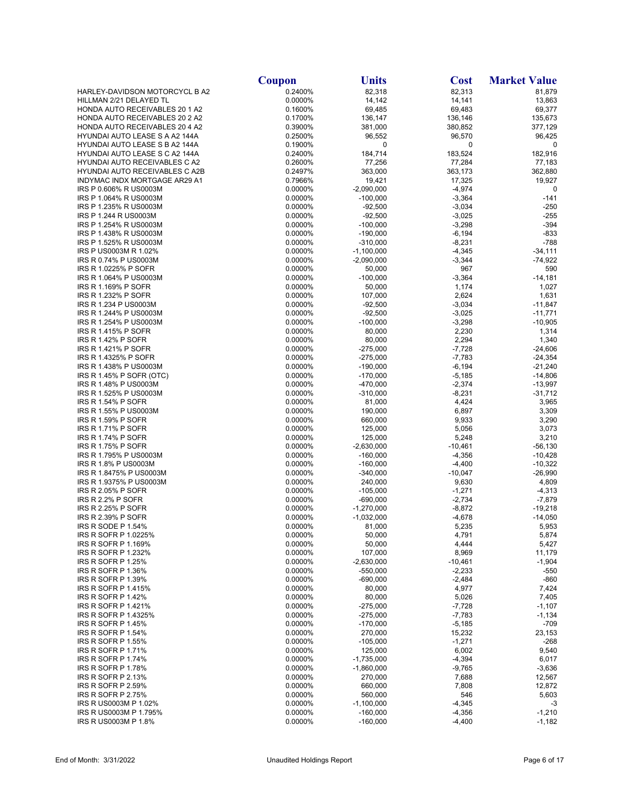|                                                                         | <b>Coupon</b>      | <b>Units</b>               | <b>Cost</b>          | <b>Market Value</b>    |
|-------------------------------------------------------------------------|--------------------|----------------------------|----------------------|------------------------|
| HARLEY-DAVIDSON MOTORCYCL B A2                                          | 0.2400%            | 82,318                     | 82,313               | 81,879                 |
| HILLMAN 2/21 DELAYED TL                                                 | 0.0000%            | 14,142                     | 14,141               | 13,863                 |
| <b>HONDA AUTO RECEIVABLES 20 1 A2</b>                                   | 0.1600%            | 69,485                     | 69,483               | 69,377                 |
| HONDA AUTO RECEIVABLES 20 2 A2                                          | 0.1700%            | 136,147                    | 136,146              | 135,673                |
| HONDA AUTO RECEIVABLES 20 4 A2                                          | 0.3900%            | 381,000                    | 380,852              | 377,129                |
| HYUNDAI AUTO LEASE S A A2 144A                                          | 0.2500%<br>0.1900% | 96,552                     | 96,570               | 96,425                 |
| HYUNDAI AUTO LEASE S B A2 144A<br><b>HYUNDAI AUTO LEASE S C A2 144A</b> | 0.2400%            | 0<br>184,714               | 0<br>183,524         | 0<br>182,916           |
| HYUNDAI AUTO RECEIVABLES C A2                                           | 0.2600%            | 77,256                     | 77,284               | 77,183                 |
| <b>HYUNDAI AUTO RECEIVABLES C A2B</b>                                   | 0.2497%            | 363,000                    | 363,173              | 362,880                |
| INDYMAC INDX MORTGAGE AR29 A1                                           | 0.7966%            | 19,421                     | 17,325               | 19,927                 |
| IRS P 0.606% R US0003M                                                  | 0.0000%            | $-2,090,000$               | $-4,974$             | 0                      |
| IRS P 1.064% R US0003M                                                  | 0.0000%            | $-100,000$                 | $-3,364$             | $-141$                 |
| IRS P 1.235% R US0003M                                                  | 0.0000%            | $-92,500$                  | $-3,034$             | $-250$                 |
| IRS P 1.244 R US0003M                                                   | 0.0000%            | $-92,500$                  | $-3,025$             | $-255$                 |
| IRS P 1.254% R US0003M                                                  | 0.0000%            | $-100,000$                 | $-3,298$             | $-394$                 |
| IRS P 1.438% R US0003M                                                  | 0.0000%            | $-190,000$                 | $-6,194$             | $-833$                 |
| IRS P 1.525% R US0003M                                                  | 0.0000%            | $-310,000$                 | $-8,231$             | $-788$                 |
| IRS P US0003M R 1.02%                                                   | 0.0000%            | $-1,100,000$               | $-4,345$             | $-34,111$              |
| IRS R 0.74% P US0003M<br>IRS R 1.0225% P SOFR                           | 0.0000%<br>0.0000% | $-2,090,000$<br>50,000     | $-3,344$<br>967      | $-74,922$<br>590       |
| IRS R 1.064% P US0003M                                                  | 0.0000%            | $-100,000$                 | $-3,364$             | $-14,181$              |
| IRS R 1.169% P SOFR                                                     | 0.0000%            | 50,000                     | 1,174                | 1,027                  |
| IRS R 1.232% P SOFR                                                     | 0.0000%            | 107,000                    | 2,624                | 1,631                  |
| IRS R 1.234 P US0003M                                                   | 0.0000%            | $-92,500$                  | $-3,034$             | $-11,847$              |
| IRS R 1.244% P US0003M                                                  | 0.0000%            | $-92,500$                  | $-3,025$             | $-11,771$              |
| IRS R 1.254% P US0003M                                                  | 0.0000%            | $-100,000$                 | $-3,298$             | $-10,905$              |
| <b>IRS R 1.415% P SOFR</b>                                              | 0.0000%            | 80,000                     | 2,230                | 1,314                  |
| <b>IRS R 1.42% P SOFR</b>                                               | 0.0000%            | 80,000                     | 2,294                | 1,340                  |
| IRS R 1.421% P SOFR                                                     | 0.0000%            | $-275,000$                 | $-7,728$             | $-24,606$              |
| IRS R 1.4325% P SOFR                                                    | 0.0000%            | $-275,000$                 | $-7,783$             | $-24,354$              |
| IRS R 1.438% P US0003M                                                  | 0.0000%            | $-190,000$                 | $-6,194$             | $-21,240$              |
| IRS R 1.45% P SOFR (OTC)<br>IRS R 1.48% P US0003M                       | 0.0000%<br>0.0000% | $-170,000$<br>-470,000     | $-5,185$<br>$-2,374$ | $-14,806$              |
| IRS R 1.525% P US0003M                                                  | 0.0000%            | $-310,000$                 | $-8,231$             | $-13,997$<br>$-31,712$ |
| IRS R 1.54% P SOFR                                                      | 0.0000%            | 81,000                     | 4,424                | 3,965                  |
| IRS R 1.55% P US0003M                                                   | 0.0000%            | 190,000                    | 6,897                | 3,309                  |
| <b>IRS R 1.59% P SOFR</b>                                               | 0.0000%            | 660,000                    | 9,933                | 3,290                  |
| <b>IRS R 1.71% P SOFR</b>                                               | 0.0000%            | 125,000                    | 5,056                | 3,073                  |
| <b>IRS R 1.74% P SOFR</b>                                               | 0.0000%            | 125,000                    | 5,248                | 3,210                  |
| IRS R 1.75% P SOFR                                                      | 0.0000%            | $-2,630,000$               | $-10,461$            | $-56, 130$             |
| IRS R 1.795% P US0003M                                                  | 0.0000%            | $-160,000$                 | $-4,356$             | $-10,428$              |
| IRS R 1.8% P US0003M                                                    | 0.0000%            | $-160,000$                 | $-4,400$             | $-10,322$              |
| IRS R 1.8475% P US0003M<br>IRS R 1.9375% P US0003M                      | 0.0000%<br>0.0000% | $-340,000$<br>240,000      | $-10,047$<br>9,630   | $-26,990$              |
| IRS R 2.05% P SOFR                                                      | 0.0000%            | $-105,000$                 | $-1,271$             | 4,809<br>$-4,313$      |
| IRS R 2.2% P SOFR                                                       | 0.0000%            | $-690,000$                 | $-2,734$             | $-7,879$               |
| IRS R 2.25% P SOFR                                                      | 0.0000%            | $-1,270,000$               | $-8,872$             | $-19,218$              |
| IRS R 2.39% P SOFR                                                      | 0.0000%            | $-1,032,000$               | $-4,678$             | $-14,050$              |
| IRS R SODE P 1.54%                                                      | 0.0000%            | 81,000                     | 5,235                | 5,953                  |
| IRS R SOFR P 1.0225%                                                    | 0.0000%            | 50,000                     | 4,791                | 5,874                  |
| IRS R SOFR P 1.169%                                                     | 0.0000%            | 50,000                     | 4,444                | 5,427                  |
| <b>IRS R SOFR P 1.232%</b>                                              | 0.0000%            | 107,000                    | 8,969                | 11,179                 |
| IRS R SOFR P 1.25%                                                      | 0.0000%            | $-2,630,000$               | $-10,461$            | $-1,904$               |
| IRS R SOFR P 1.36%                                                      | 0.0000%            | $-550,000$                 | $-2,233$             | $-550$                 |
| IRS R SOFR P 1.39%<br>IRS R SOFR P 1.415%                               | 0.0000%<br>0.0000% | $-690,000$<br>80,000       | $-2,484$<br>4,977    | $-860$<br>7,424        |
| <b>IRS R SOFR P 1.42%</b>                                               | 0.0000%            | 80,000                     | 5,026                | 7,405                  |
| IRS R SOFR P 1.421%                                                     | 0.0000%            | $-275,000$                 | $-7,728$             | $-1,107$               |
| IRS R SOFR P 1.4325%                                                    | 0.0000%            | $-275,000$                 | $-7,783$             | $-1,134$               |
| IRS R SOFR P 1.45%                                                      | 0.0000%            | $-170,000$                 | $-5,185$             | $-709$                 |
| IRS R SOFR P 1.54%                                                      | 0.0000%            | 270,000                    | 15,232               | 23,153                 |
| IRS R SOFR P 1.55%                                                      | 0.0000%            | $-105,000$                 | $-1,271$             | $-268$                 |
| <b>IRS R SOFR P 1.71%</b>                                               | 0.0000%            | 125,000                    | 6,002                | 9,540                  |
| IRS R SOFR P 1.74%                                                      | 0.0000%            | $-1,735,000$               | $-4,394$             | 6,017                  |
| IRS R SOFR P 1.78%                                                      | 0.0000%            | $-1,860,000$               | $-9,765$             | $-3,636$               |
| <b>IRS R SOFR P 2.13%</b>                                               | 0.0000%            | 270,000                    | 7,688                | 12,567                 |
| IRS R SOFR P 2.59%                                                      | 0.0000%            | 660,000                    | 7,808                | 12,872                 |
| IRS R SOFR P 2.75%                                                      | 0.0000%            | 560,000                    | 546                  | 5,603                  |
| IRS R US0003M P 1.02%<br>IRS R US0003M P 1.795%                         | 0.0000%<br>0.0000% | $-1,100,000$<br>$-160,000$ | $-4,345$<br>$-4,356$ | $-3$<br>$-1,210$       |
| IRS R US0003M P 1.8%                                                    | 0.0000%            | $-160,000$                 | $-4,400$             | $-1,182$               |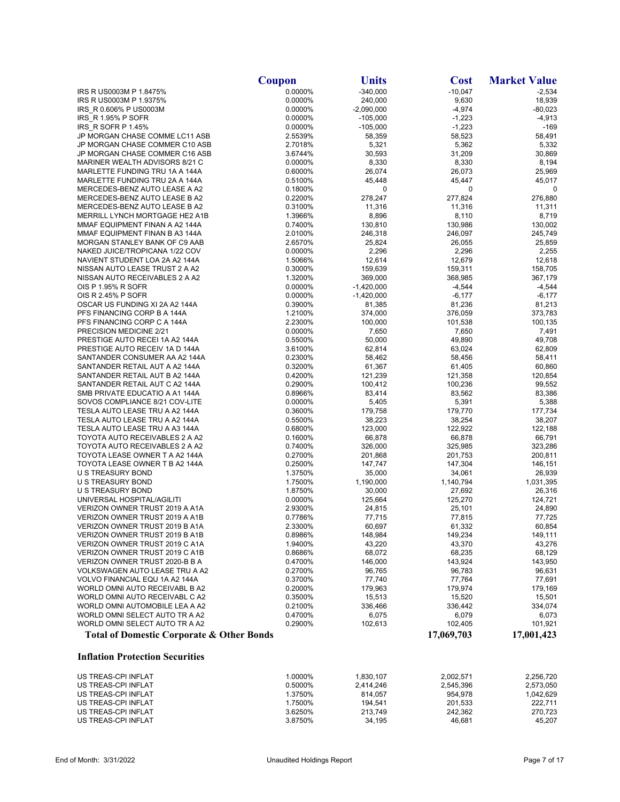|                                                                  | Coupon             | <b>Units</b>      | <b>Cost</b>       | <b>Market Value</b> |
|------------------------------------------------------------------|--------------------|-------------------|-------------------|---------------------|
| IRS R US0003M P 1.8475%                                          | 0.0000%            | $-340,000$        | $-10,047$         | $-2,534$            |
| IRS R US0003M P 1.9375%                                          | 0.0000%            | 240,000           | 9,630             | 18,939              |
| IRS R 0.606% P US0003M                                           | 0.0000%            | $-2,090,000$      | $-4,974$          | $-80,023$           |
| IRS R 1.95% P SOFR                                               | 0.0000%            | $-105,000$        | $-1,223$          | $-4,913$            |
| IRS R SOFR P 1.45%                                               | 0.0000%            | $-105,000$        | $-1,223$          | -169                |
| JP MORGAN CHASE COMME LC11 ASB                                   | 2.5539%            | 58,359            | 58,523            | 58,491              |
| JP MORGAN CHASE COMMER C10 ASB<br>JP MORGAN CHASE COMMER C16 ASB | 2.7018%<br>3.6744% | 5,321<br>30,593   | 5,362<br>31,209   | 5,332<br>30,869     |
| MARINER WEALTH ADVISORS 8/21 C                                   | 0.0000%            | 8,330             | 8,330             | 8,194               |
| MARLETTE FUNDING TRU 1A A 144A                                   | 0.6000%            | 26,074            | 26,073            | 25,969              |
| MARLETTE FUNDING TRU 2A A 144A                                   | 0.5100%            | 45,448            | 45,447            | 45,017              |
| MERCEDES-BENZ AUTO LEASE A A2                                    | 0.1800%            | 0                 | 0                 | 0                   |
| MERCEDES-BENZ AUTO LEASE B A2                                    | 0.2200%            | 278,247           | 277,824           | 276,880             |
| MERCEDES-BENZ AUTO LEASE B A2                                    | 0.3100%            | 11,316            | 11,316            | 11,311              |
| MERRILL LYNCH MORTGAGE HE2 A1B                                   | 1.3966%            | 8,896             | 8,110             | 8,719               |
| MMAF EQUIPMENT FINAN A A2 144A                                   | 0.7400%            | 130,810           | 130,986           | 130,002             |
| MMAF EQUIPMENT FINAN B A3 144A                                   | 2.0100%            | 246,318           | 246,097           | 245,749             |
| MORGAN STANLEY BANK OF C9 AAB                                    | 2.6570%            | 25,824            | 26,055            | 25,859              |
| NAKED JUICE/TROPICANA 1/22 COV                                   | 0.0000%            | 2,296             | 2,296             | 2,255               |
| NAVIENT STUDENT LOA 2A A2 144A                                   | 1.5066%<br>0.3000% | 12,614<br>159,639 | 12,679<br>159,311 | 12,618              |
| NISSAN AUTO LEASE TRUST 2 A A2<br>NISSAN AUTO RECEIVABLES 2 A A2 | 1.3200%            | 369,000           | 368,985           | 158,705<br>367,179  |
| OIS P 1.95% R SOFR                                               | 0.0000%            | $-1,420,000$      | $-4,544$          | $-4,544$            |
| OIS R 2.45% P SOFR                                               | 0.0000%            | $-1,420,000$      | $-6,177$          | $-6,177$            |
| OSCAR US FUNDING XI 2A A2 144A                                   | 0.3900%            | 81,385            | 81,236            | 81,213              |
| PFS FINANCING CORP B A 144A                                      | 1.2100%            | 374,000           | 376,059           | 373,783             |
| PFS FINANCING CORP C A 144A                                      | 2.2300%            | 100,000           | 101,538           | 100,135             |
| PRECISION MEDICINE 2/21                                          | 0.0000%            | 7,650             | 7,650             | 7,491               |
| PRESTIGE AUTO RECEI 1A A2 144A                                   | 0.5500%            | 50,000            | 49,890            | 49,708              |
| PRESTIGE AUTO RECEIV 1A D 144A                                   | 3.6100%            | 62,814            | 63,024            | 62,809              |
| SANTANDER CONSUMER AA A2 144A                                    | 0.2300%            | 58,462            | 58,456            | 58,411              |
| SANTANDER RETAIL AUT A A2 144A                                   | 0.3200%            | 61,367            | 61,405            | 60,860              |
| SANTANDER RETAIL AUT B A2 144A                                   | 0.4200%            | 121,239           | 121,358           | 120,854             |
| SANTANDER RETAIL AUT C A2 144A                                   | 0.2900%            | 100,412           | 100,236           | 99,552              |
| SMB PRIVATE EDUCATIO A A1 144A<br>SOVOS COMPLIANCE 8/21 COV-LITE | 0.8966%<br>0.0000% | 83,414<br>5,405   | 83,562<br>5,391   | 83,386<br>5,388     |
| TESLA AUTO LEASE TRU A A2 144A                                   | 0.3600%            | 179,758           | 179,770           | 177,734             |
| TESLA AUTO LEASE TRU A A2 144A                                   | 0.5500%            | 38,223            | 38,254            | 38,207              |
| TESLA AUTO LEASE TRU A A3 144A                                   | 0.6800%            | 123,000           | 122,922           | 122,188             |
| TOYOTA AUTO RECEIVABLES 2 A A2                                   | 0.1600%            | 66,878            | 66,878            | 66,791              |
| TOYOTA AUTO RECEIVABLES 2 A A2                                   | 0.7400%            | 326,000           | 325,985           | 323,286             |
| TOYOTA LEASE OWNER T A A2 144A                                   | 0.2700%            | 201,868           | 201,753           | 200,811             |
| TOYOTA LEASE OWNER T B A2 144A                                   | 0.2500%            | 147,747           | 147,304           | 146,151             |
| <b>U S TREASURY BOND</b>                                         | 1.3750%            | 35,000            | 34,061            | 26,939              |
| U S TREASURY BOND                                                | 1.7500%            | 1,190,000         | 1,140,794         | 1,031,395           |
| U S TREASURY BOND                                                | 1.8750%            | 30,000            | 27,692            | 26,316              |
| UNIVERSAL HOSPITAL/AGILITI                                       | 0.0000%            | 125,664           | 125,270           | 124,721             |
| VERIZON OWNER TRUST 2019 A A1A                                   | 2.9300%            | 24,815            | 25,101            | 24,890              |
| VERIZON OWNER TRUST 2019 A A1B                                   | 0.7786%<br>2.3300% | 77,715            | 77,815<br>61,332  | 77,725              |
| VERIZON OWNER TRUST 2019 B A1A<br>VERIZON OWNER TRUST 2019 B A1B | 0.8986%            | 60,697<br>148,984 | 149,234           | 60,854<br>149,111   |
| VERIZON OWNER TRUST 2019 C A1A                                   | 1.9400%            | 43,220            | 43,370            | 43,276              |
| VERIZON OWNER TRUST 2019 C A1B                                   | 0.8686%            | 68,072            | 68,235            | 68,129              |
| VERIZON OWNER TRUST 2020-B B A                                   | 0.4700%            | 146,000           | 143,924           | 143,950             |
| VOLKSWAGEN AUTO LEASE TRU A A2                                   | 0.2700%            | 96,765            | 96,783            | 96,631              |
| VOLVO FINANCIAL EQU 1A A2 144A                                   | 0.3700%            | 77,740            | 77,764            | 77,691              |
| WORLD OMNI AUTO RECEIVABL B A2                                   | 0.2000%            | 179,963           | 179,974           | 179,169             |
| WORLD OMNI AUTO RECEIVABL C A2                                   | 0.3500%            | 15,513            | 15,520            | 15,501              |
| WORLD OMNI AUTOMOBILE LEA A A2                                   | 0.2100%            | 336,466           | 336,442           | 334,074             |
| WORLD OMNI SELECT AUTO TR A A2                                   | 0.4700%            | 6,075             | 6,079             | 6,073               |
| WORLD OMNI SELECT AUTO TR A A2                                   | 0.2900%            | 102,613           | 102,405           | 101,921             |
| <b>Total of Domestic Corporate &amp; Other Bonds</b>             |                    |                   | 17,069,703        | 17,001,423          |
| <b>Inflation Protection Securities</b>                           |                    |                   |                   |                     |
| US TREAS-CPI INFLAT                                              | 1.0000%            | 1,830,107         | 2,002,571         | 2,256,720           |
| US TREAS-CPI INFLAT                                              | 0.5000%            | 2,414,246         | 2,545,396         | 2,573,050           |
| US TREAS-CPI INFLAT                                              | 1.3750%            | 814,057           | 954,978           | 1,042,629           |
| US TREAS-CPI INFLAT                                              | 1.7500%            | 194,541           | 201,533           | 222,711             |
| US TREAS-CPI INFLAT                                              | 3.6250%            | 213,749           | 242,362           | 270,723             |
| US TREAS-CPI INFLAT                                              | 3.8750%            | 34,195            | 46,681            | 45,207              |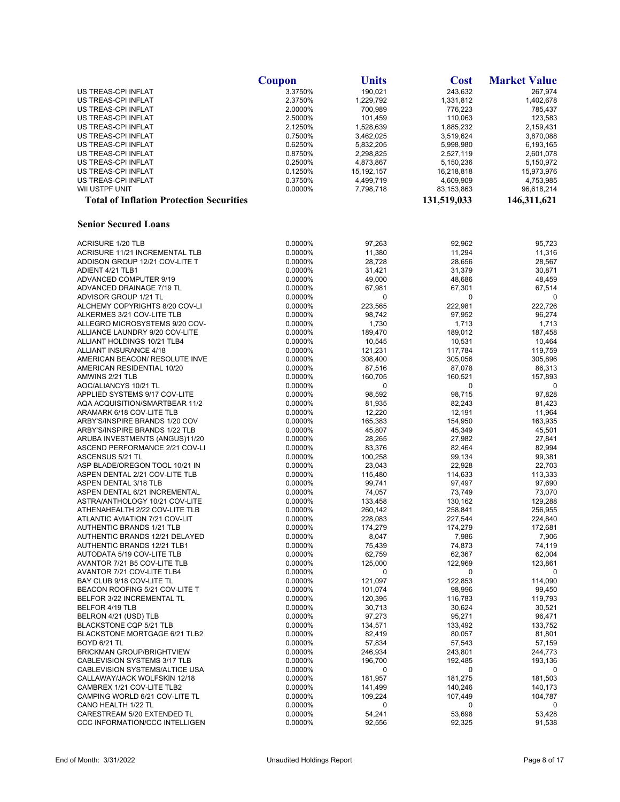|                                                                    | Coupon             | <b>Units</b>           | <b>Cost</b>            | <b>Market Value</b>    |
|--------------------------------------------------------------------|--------------------|------------------------|------------------------|------------------------|
| US TREAS-CPI INFLAT                                                | 3.3750%            | 190,021                | 243,632                | 267,974                |
| US TREAS-CPI INFLAT                                                | 2.3750%            | 1,229,792              | 1,331,812              | 1,402,678              |
| US TREAS-CPI INFLAT                                                | 2.0000%            | 700,989                | 776,223                | 785,437                |
| US TREAS-CPI INFLAT                                                | 2.5000%            | 101,459                | 110,063                | 123,583                |
| US TREAS-CPI INFLAT                                                | 2.1250%            | 1,528,639              | 1,885,232              | 2,159,431              |
| US TREAS-CPI INFLAT<br>US TREAS-CPI INFLAT                         | 0.7500%<br>0.6250% | 3,462,025<br>5,832,205 | 3,519,624<br>5,998,980 | 3,870,088<br>6,193,165 |
| US TREAS-CPI INFLAT                                                | 0.8750%            | 2,298,825              | 2,527,119              | 2,601,078              |
| US TREAS-CPI INFLAT                                                | 0.2500%            | 4,873,867              | 5,150,236              | 5,150,972              |
| US TREAS-CPI INFLAT                                                | 0.1250%            | 15, 192, 157           | 16,218,818             | 15,973,976             |
| US TREAS-CPI INFLAT                                                | 0.3750%            | 4,499,719              | 4,609,909              | 4,753,985              |
| WII USTPF UNIT                                                     | 0.0000%            | 7,798,718              | 83,153,863             | 96,618,214             |
| <b>Total of Inflation Protection Securities</b>                    |                    |                        | 131,519,033            | 146,311,621            |
| <b>Senior Secured Loans</b>                                        |                    |                        |                        |                        |
|                                                                    |                    |                        |                        |                        |
| <b>ACRISURE 1/20 TLB</b>                                           | 0.0000%            | 97,263                 | 92,962                 | 95,723                 |
| ACRISURE 11/21 INCREMENTAL TLB                                     | 0.0000%            | 11,380                 | 11,294                 | 11,316                 |
| ADDISON GROUP 12/21 COV-LITE T                                     | 0.0000%            | 28,728                 | 28,656                 | 28,567                 |
| ADIENT 4/21 TLB1                                                   | 0.0000%            | 31,421                 | 31,379                 | 30,871                 |
| ADVANCED COMPUTER 9/19<br>ADVANCED DRAINAGE 7/19 TL                | 0.0000%<br>0.0000% | 49,000                 | 48,686                 | 48,459                 |
| ADVISOR GROUP 1/21 TL                                              | 0.0000%            | 67,981<br>0            | 67,301<br>0            | 67,514<br>0            |
| ALCHEMY COPYRIGHTS 8/20 COV-LI                                     | 0.0000%            | 223,565                | 222,981                | 222,726                |
| ALKERMES 3/21 COV-LITE TLB                                         | 0.0000%            | 98,742                 | 97,952                 | 96,274                 |
| ALLEGRO MICROSYSTEMS 9/20 COV-                                     | 0.0000%            | 1,730                  | 1,713                  | 1,713                  |
| ALLIANCE LAUNDRY 9/20 COV-LITE                                     | 0.0000%            | 189,470                | 189,012                | 187,458                |
| <b>ALLIANT HOLDINGS 10/21 TLB4</b>                                 | 0.0000%            | 10,545                 | 10,531                 | 10,464                 |
| ALLIANT INSURANCE 4/18                                             | 0.0000%            | 121,231                | 117,784                | 119,759                |
| AMERICAN BEACON/ RESOLUTE INVE                                     | 0.0000%            | 308,400                | 305,056                | 305,896                |
| AMERICAN RESIDENTIAL 10/20                                         | 0.0000%            | 87,516                 | 87,078                 | 86,313                 |
| AMWINS 2/21 TLB                                                    | 0.0000%            | 160,705                | 160,521                | 157,893                |
| AOC/ALIANCYS 10/21 TL                                              | 0.0000%            | 0                      | 0                      | 0                      |
| APPLIED SYSTEMS 9/17 COV-LITE                                      | 0.0000%            | 98,592                 | 98,715                 | 97,828                 |
| AQA ACQUISITION/SMARTBEAR 11/2<br>ARAMARK 6/18 COV-LITE TLB        | 0.0000%<br>0.0000% | 81,935<br>12,220       | 82,243<br>12,191       | 81,423<br>11,964       |
| ARBY'S/INSPIRE BRANDS 1/20 COV                                     | 0.0000%            | 165,383                | 154,950                | 163,935                |
| ARBY'S/INSPIRE BRANDS 1/22 TLB                                     | 0.0000%            | 45,807                 | 45,349                 | 45,501                 |
| ARUBA INVESTMENTS (ANGUS)11/20                                     | 0.0000%            | 28,265                 | 27,982                 | 27,841                 |
| ASCEND PERFORMANCE 2/21 COV-LI                                     | 0.0000%            | 83,376                 | 82,464                 | 82,994                 |
| ASCENSUS 5/21 TL                                                   | 0.0000%            | 100,258                | 99,134                 | 99,381                 |
| ASP BLADE/OREGON TOOL 10/21 IN                                     | 0.0000%            | 23,043                 | 22,928                 | 22,703                 |
| ASPEN DENTAL 2/21 COV-LITE TLB                                     | 0.0000%            | 115,480                | 114,633                | 113,333                |
| ASPEN DENTAL 3/18 TLB                                              | 0.0000%            | 99,741                 | 97,497                 | 97,690                 |
| ASPEN DENTAL 6/21 INCREMENTAL                                      | 0.0000%            | 74,057                 | 73,749                 | 73,070                 |
| ASTRA/ANTHOLOGY 10/21 COV-LITE                                     | 0.0000%            | 133,458                | 130,162                | 129,288                |
| ATHENAHEALTH 2/22 COV-LITE TLB                                     | 0.0000%            | 260,142                | 258,841                | 256,955                |
| ATLANTIC AVIATION 7/21 COV-LIT<br><b>AUTHENTIC BRANDS 1/21 TLB</b> | 0.0000%            | 228,083                | 227,544                | 224,840                |
| AUTHENTIC BRANDS 12/21 DELAYED                                     | 0.0000%<br>0.0000% | 174,279<br>8,047       | 174,279<br>7,986       | 172,681<br>7,906       |
| AUTHENTIC BRANDS 12/21 TLB1                                        | 0.0000%            | 75,439                 | 74,873                 | 74,119                 |
| AUTODATA 5/19 COV-LITE TLB                                         | 0.0000%            | 62,759                 | 62,367                 | 62,004                 |
| AVANTOR 7/21 B5 COV-LITE TLB                                       | 0.0000%            | 125,000                | 122,969                | 123,861                |
| AVANTOR 7/21 COV-LITE TLB4                                         | 0.0000%            | 0                      | 0                      | 0                      |
| BAY CLUB 9/18 COV-LITE TL                                          | 0.0000%            | 121,097                | 122,853                | 114,090                |
| BEACON ROOFING 5/21 COV-LITE T                                     | 0.0000%            | 101,074                | 98,996                 | 99,450                 |
| BELFOR 3/22 INCREMENTAL TL                                         | 0.0000%            | 120,395                | 116,783                | 119,793                |
| BELFOR 4/19 TLB                                                    | 0.0000%            | 30,713                 | 30,624                 | 30,521                 |
| BELRON 4/21 (USD) TLB                                              | 0.0000%            | 97,273                 | 95,271                 | 96,471                 |
| BLACKSTONE CQP 5/21 TLB                                            | 0.0000%            | 134,571                | 133,492                | 133,752                |
| BLACKSTONE MORTGAGE 6/21 TLB2                                      | 0.0000%            | 82,419                 | 80,057                 | 81,801                 |
| <b>BOYD 6/21 TL</b>                                                | 0.0000%            | 57,834                 | 57,543                 | 57,159                 |
| <b>BRICKMAN GROUP/BRIGHTVIEW</b>                                   | 0.0000%            | 246,934                | 243,801                | 244,773                |
| CABLEVISION SYSTEMS 3/17 TLB<br>CABLEVISION SYSTEMS/ALTICE USA     | 0.0000%<br>0.0000% | 196,700<br>0           | 192,485<br>0           | 193,136<br>0           |
| CALLAWAY/JACK WOLFSKIN 12/18                                       | 0.0000%            | 181,957                | 181,275                | 181,503                |
| CAMBREX 1/21 COV-LITE TLB2                                         | 0.0000%            | 141,499                | 140,246                | 140,173                |
| CAMPING WORLD 6/21 COV-LITE TL                                     | 0.0000%            | 109,224                | 107,449                | 104,787                |
| CANO HEALTH 1/22 TL                                                | 0.0000%            | 0                      | 0                      | 0                      |
| CARESTREAM 5/20 EXTENDED TL                                        | 0.0000%            | 54,241                 | 53,698                 | 53,428                 |
| CCC INFORMATION/CCC INTELLIGEN                                     | 0.0000%            | 92,556                 | 92,325                 | 91,538                 |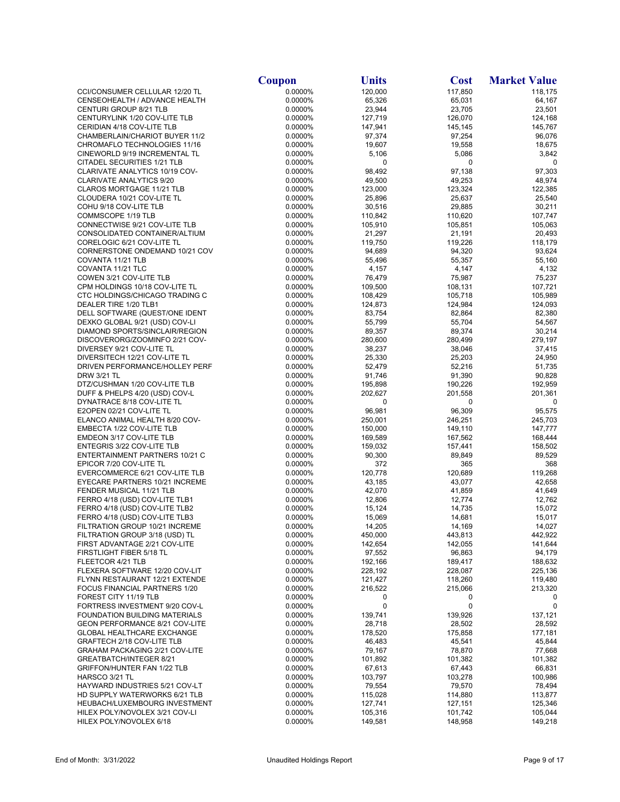|                                                                  | <b>Coupon</b>      | <b>Units</b>       | <b>Cost</b>        | <b>Market Value</b> |
|------------------------------------------------------------------|--------------------|--------------------|--------------------|---------------------|
| CCI/CONSUMER CELLULAR 12/20 TL                                   | 0.0000%            | 120,000            | 117,850            | 118,175             |
| CENSEOHEALTH / ADVANCE HEALTH                                    | 0.0000%            | 65,326             | 65,031             | 64,167              |
| <b>CENTURI GROUP 8/21 TLB</b>                                    | 0.0000%            | 23,944             | 23,705             | 23,501              |
| CENTURYLINK 1/20 COV-LITE TLB                                    | 0.0000%            | 127,719            | 126,070            | 124,168             |
| CERIDIAN 4/18 COV-LITE TLB                                       | 0.0000%            | 147,941            | 145,145            | 145,767             |
| CHAMBERLAIN/CHARIOT BUYER 11/2                                   | 0.0000%            | 97,374             | 97,254             | 96,076              |
| CHROMAFLO TECHNOLOGIES 11/16                                     | 0.0000%            | 19,607             | 19,558             | 18,675              |
| CINEWORLD 9/19 INCREMENTAL TL<br>CITADEL SECURITIES 1/21 TLB     | 0.0000%<br>0.0000% | 5,106<br>0         | 5,086<br>0         | 3,842<br>0          |
| CLARIVATE ANALYTICS 10/19 COV-                                   | 0.0000%            | 98,492             | 97,138             | 97,303              |
| CLARIVATE ANALYTICS 9/20                                         | 0.0000%            | 49,500             | 49,253             | 48,974              |
| CLAROS MORTGAGE 11/21 TLB                                        | 0.0000%            | 123,000            | 123,324            | 122,385             |
| CLOUDERA 10/21 COV-LITE TL                                       | 0.0000%            | 25,896             | 25,637             | 25,540              |
| COHU 9/18 COV-LITE TLB                                           | 0.0000%            | 30,516             | 29,885             | 30,211              |
| COMMSCOPE 1/19 TLB                                               | 0.0000%            | 110,842            | 110,620            | 107,747             |
| CONNECTWISE 9/21 COV-LITE TLB                                    | 0.0000%            | 105,910            | 105,851            | 105,063             |
| CONSOLIDATED CONTAINER/ALTIUM                                    | 0.0000%            | 21,297             | 21,191             | 20,493              |
| CORELOGIC 6/21 COV-LITE TL                                       | 0.0000%            | 119,750            | 119,226            | 118,179             |
| CORNERSTONE ONDEMAND 10/21 COV                                   | 0.0000%            | 94,689             | 94,320             | 93,624              |
| COVANTA 11/21 TLB                                                | 0.0000%            | 55,496             | 55,357             | 55,160              |
| COVANTA 11/21 TLC                                                | 0.0000%            | 4,157              | 4,147              | 4,132               |
| COWEN 3/21 COV-LITE TLB                                          | 0.0000%            | 76,479             | 75,987             | 75,237              |
| CPM HOLDINGS 10/18 COV-LITE TL                                   | 0.0000%            | 109,500            | 108,131            | 107,721             |
| CTC HOLDINGS/CHICAGO TRADING C                                   | 0.0000%            | 108,429            | 105,718            | 105,989             |
| DEALER TIRE 1/20 TLB1                                            | 0.0000%            | 124,873            | 124,984            | 124,093             |
| DELL SOFTWARE (QUEST/ONE IDENT                                   | 0.0000%            | 83,754             | 82,864             | 82,380              |
| DEXKO GLOBAL 9/21 (USD) COV-LI                                   | 0.0000%            | 55,799             | 55,704             | 54,567              |
| DIAMOND SPORTS/SINCLAIR/REGION                                   | 0.0000%            | 89,357             | 89,374             | 30,214              |
| DISCOVERORG/ZOOMINFO 2/21 COV-                                   | 0.0000%            | 280,600            | 280,499            | 279,197             |
| DIVERSEY 9/21 COV-LITE TL<br>DIVERSITECH 12/21 COV-LITE TL       | 0.0000%<br>0.0000% | 38,237<br>25,330   | 38,046<br>25,203   | 37,415<br>24,950    |
| DRIVEN PERFORMANCE/HOLLEY PERF                                   | 0.0000%            | 52,479             | 52,216             | 51,735              |
| <b>DRW 3/21 TL</b>                                               | 0.0000%            | 91,746             | 91,390             | 90,828              |
| DTZ/CUSHMAN 1/20 COV-LITE TLB                                    | 0.0000%            | 195,898            | 190,226            | 192,959             |
| DUFF & PHELPS 4/20 (USD) COV-L                                   | 0.0000%            | 202,627            | 201,558            | 201,361             |
| DYNATRACE 8/18 COV-LITE TL                                       | 0.0000%            | 0                  | 0                  | 0                   |
| E2OPEN 02/21 COV-LITE TL                                         | 0.0000%            | 96,981             | 96,309             | 95,575              |
| ELANCO ANIMAL HEALTH 8/20 COV-                                   | 0.0000%            | 250,001            | 246,251            | 245,703             |
| EMBECTA 1/22 COV-LITE TLB                                        | 0.0000%            | 150,000            | 149,110            | 147,777             |
| EMDEON 3/17 COV-LITE TLB                                         | 0.0000%            | 169,589            | 167,562            | 168,444             |
| ENTEGRIS 3/22 COV-LITE TLB                                       | 0.0000%            | 159,032            | 157,441            | 158,502             |
| ENTERTAINMENT PARTNERS 10/21 C                                   | 0.0000%            | 90,300             | 89,849             | 89,529              |
| EPICOR 7/20 COV-LITE TL                                          | 0.0000%            | 372                | 365                | 368                 |
| EVERCOMMERCE 6/21 COV-LITE TLB                                   | 0.0000%            | 120,778            | 120,689            | 119,268             |
| EYECARE PARTNERS 10/21 INCREME                                   | 0.0000%            | 43,185             | 43,077             | 42,658              |
| FENDER MUSICAL 11/21 TLB                                         | 0.0000%            | 42,070             | 41,859             | 41,649              |
| FERRO 4/18 (USD) COV-LITE TLB1                                   | 0.0000%            | 12,806             | 12,774             | 12,762              |
| FERRO 4/18 (USD) COV-LITE TLB2                                   | 0.0000%            | 15,124<br>15,069   | 14,735             | 15,072              |
| FERRO 4/18 (USD) COV-LITE TLB3<br>FILTRATION GROUP 10/21 INCREME | 0.0000%<br>0.0000% | 14,205             | 14,681<br>14,169   | 15,017<br>14,027    |
| FILTRATION GROUP 3/18 (USD) TL                                   | 0.0000%            | 450,000            | 443,813            | 442,922             |
| FIRST ADVANTAGE 2/21 COV-LITE                                    | 0.0000%            | 142,654            | 142,055            | 141,644             |
| FIRSTLIGHT FIBER 5/18 TL                                         | 0.0000%            | 97,552             | 96,863             | 94,179              |
| FLEETCOR 4/21 TLB                                                | 0.0000%            | 192,166            | 189,417            | 188,632             |
| FLEXERA SOFTWARE 12/20 COV-LIT                                   | 0.0000%            | 228,192            | 228,087            | 225,136             |
| FLYNN RESTAURANT 12/21 EXTENDE                                   | 0.0000%            | 121,427            | 118,260            | 119,480             |
| FOCUS FINANCIAL PARTNERS 1/20                                    | 0.0000%            | 216,522            | 215,066            | 213,320             |
| FOREST CITY 11/19 TLB                                            | 0.0000%            | 0                  | 0                  | 0                   |
| FORTRESS INVESTMENT 9/20 COV-L                                   | 0.0000%            | 0                  | 0                  | 0                   |
| FOUNDATION BUILDING MATERIALS                                    | 0.0000%            | 139,741            | 139,926            | 137,121             |
| GEON PERFORMANCE 8/21 COV-LITE                                   | 0.0000%            | 28,718             | 28,502             | 28,592              |
| <b>GLOBAL HEALTHCARE EXCHANGE</b>                                | 0.0000%            | 178,520            | 175,858            | 177,181             |
| GRAFTECH 2/18 COV-LITE TLB                                       | 0.0000%            | 46,483             | 45,541             | 45,844              |
| <b>GRAHAM PACKAGING 2/21 COV-LITE</b>                            | 0.0000%            | 79,167             | 78,870             | 77,668              |
| GREATBATCH/INTEGER 8/21                                          | 0.0000%            | 101,892            | 101,382            | 101,382             |
| GRIFFON/HUNTER FAN 1/22 TLB                                      | 0.0000%            | 67,613             | 67,443             | 66,831              |
| HARSCO 3/21 TL                                                   | 0.0000%            | 103,797            | 103,278            | 100,986             |
| HAYWARD INDUSTRIES 5/21 COV-LT                                   | 0.0000%            | 79,554             | 79,570             | 78,494              |
| HD SUPPLY WATERWORKS 6/21 TLB<br>HEUBACH/LUXEMBOURG INVESTMENT   | 0.0000%<br>0.0000% | 115,028<br>127,741 | 114,880            | 113,877<br>125,346  |
| HILEX POLY/NOVOLEX 3/21 COV-LI                                   | 0.0000%            | 105,316            | 127,151<br>101,742 | 105,044             |
| HILEX POLY/NOVOLEX 6/18                                          | 0.0000%            | 149,581            | 148,958            | 149,218             |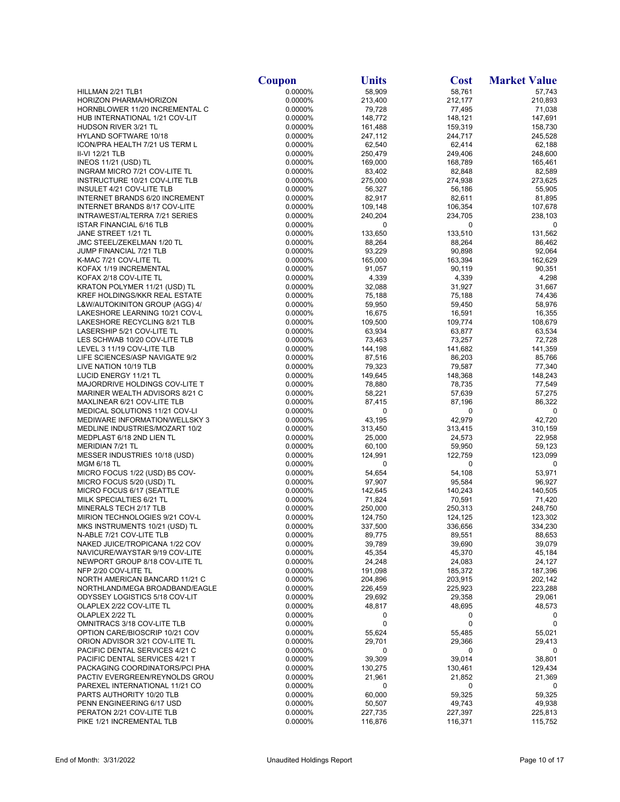|                                                                  | Coupon             | <b>Units</b>      | <b>Cost</b>       | <b>Market Value</b> |
|------------------------------------------------------------------|--------------------|-------------------|-------------------|---------------------|
| HILLMAN 2/21 TLB1                                                | 0.0000%            | 58,909            | 58,761            | 57,743              |
| HORIZON PHARMA/HORIZON                                           | 0.0000%            | 213,400           | 212,177           | 210,893             |
| HORNBLOWER 11/20 INCREMENTAL C                                   | 0.0000%            | 79,728            | 77,495            | 71,038              |
| HUB INTERNATIONAL 1/21 COV-LIT                                   | 0.0000%            | 148,772           | 148,121           | 147,691             |
| HUDSON RIVER 3/21 TL                                             | 0.0000%            | 161,488           | 159,319           | 158,730             |
| HYLAND SOFTWARE 10/18<br>ICON/PRA HEALTH 7/21 US TERM L          | 0.0000%            | 247,112           | 244,717           | 245,528             |
| II-VI 12/21 TLB                                                  | 0.0000%<br>0.0000% | 62,540<br>250,479 | 62,414<br>249,406 | 62,188<br>248,600   |
| <b>INEOS 11/21 (USD) TL</b>                                      | 0.0000%            | 169,000           | 168,789           | 165,461             |
| INGRAM MICRO 7/21 COV-LITE TL                                    | 0.0000%            | 83,402            | 82,848            | 82,589              |
| INSTRUCTURE 10/21 COV-LITE TLB                                   | 0.0000%            | 275,000           | 274,938           | 273,625             |
| INSULET 4/21 COV-LITE TLB                                        | 0.0000%            | 56,327            | 56,186            | 55,905              |
| INTERNET BRANDS 6/20 INCREMENT                                   | 0.0000%            | 82,917            | 82,611            | 81,895              |
| INTERNET BRANDS 8/17 COV-LITE                                    | 0.0000%            | 109,148           | 106,354           | 107,678             |
| INTRAWEST/ALTERRA 7/21 SERIES                                    | 0.0000%            | 240,204           | 234,705           | 238,103             |
| ISTAR FINANCIAL 6/16 TLB                                         | 0.0000%            | 0                 | 0                 | 0                   |
| JANE STREET 1/21 TL                                              | 0.0000%            | 133,650           | 133,510           | 131,562             |
| JMC STEEL/ZEKELMAN 1/20 TL<br>JUMP FINANCIAL 7/21 TLB            | 0.0000%<br>0.0000% | 88,264<br>93,229  | 88,264<br>90,898  | 86,462<br>92,064    |
| K-MAC 7/21 COV-LITE TL                                           | 0.0000%            | 165,000           | 163,394           | 162,629             |
| KOFAX 1/19 INCREMENTAL                                           | 0.0000%            | 91,057            | 90,119            | 90,351              |
| KOFAX 2/18 COV-LITE TL                                           | 0.0000%            | 4,339             | 4,339             | 4,298               |
| KRATON POLYMER 11/21 (USD) TL                                    | 0.0000%            | 32,088            | 31,927            | 31,667              |
| KREF HOLDINGS/KKR REAL ESTATE                                    | 0.0000%            | 75,188            | 75,188            | 74,436              |
| L&W/AUTOKINITON GROUP (AGG) 4/                                   | 0.0000%            | 59,950            | 59,450            | 58,976              |
| LAKESHORE LEARNING 10/21 COV-L                                   | 0.0000%            | 16,675            | 16,591            | 16,355              |
| LAKESHORE RECYCLING 8/21 TLB                                     | 0.0000%            | 109,500           | 109,774           | 108,679             |
| LASERSHIP 5/21 COV-LITE TL                                       | 0.0000%            | 63,934            | 63,877            | 63,534              |
| LES SCHWAB 10/20 COV-LITE TLB                                    | 0.0000%            | 73,463            | 73,257            | 72,728              |
| LEVEL 3 11/19 COV-LITE TLB                                       | 0.0000%            | 144,198           | 141,682           | 141,359             |
| LIFE SCIENCES/ASP NAVIGATE 9/2<br>LIVE NATION 10/19 TLB          | 0.0000%<br>0.0000% | 87,516<br>79,323  | 86,203<br>79,587  | 85,766<br>77,340    |
| LUCID ENERGY 11/21 TL                                            | 0.0000%            | 149,645           | 148,368           | 148,243             |
| MAJORDRIVE HOLDINGS COV-LITE T                                   | 0.0000%            | 78,880            | 78,735            | 77,549              |
| MARINER WEALTH ADVISORS 8/21 C                                   | 0.0000%            | 58,221            | 57,639            | 57,275              |
| MAXLINEAR 6/21 COV-LITE TLB                                      | 0.0000%            | 87,415            | 87,196            | 86,322              |
| MEDICAL SOLUTIONS 11/21 COV-LI                                   | 0.0000%            | 0                 | 0                 | 0                   |
| MEDIWARE INFORMATION/WELLSKY 3                                   | 0.0000%            | 43,195            | 42,979            | 42,720              |
| MEDLINE INDUSTRIES/MOZART 10/2                                   | 0.0000%            | 313,450           | 313,415           | 310,159             |
| MEDPLAST 6/18 2ND LIEN TL                                        | 0.0000%            | 25,000            | 24,573            | 22,958              |
| MERIDIAN 7/21 TL                                                 | 0.0000%            | 60,100            | 59,950            | 59,123              |
| MESSER INDUSTRIES 10/18 (USD)<br><b>MGM 6/18 TL</b>              | 0.0000%<br>0.0000% | 124,991<br>0      | 122,759<br>0      | 123,099<br>0        |
| MICRO FOCUS 1/22 (USD) B5 COV-                                   | 0.0000%            | 54,654            | 54,108            | 53,971              |
| MICRO FOCUS 5/20 (USD) TL                                        | 0.0000%            | 97,907            | 95,584            | 96,927              |
| MICRO FOCUS 6/17 (SEATTLE                                        | 0.0000%            | 142,645           | 140,243           | 140,505             |
| MILK SPECIALTIES 6/21 TL                                         | 0.0000%            | 71,824            | 70,591            | 71,420              |
| MINERALS TECH 2/17 TLB                                           | 0.0000%            | 250,000           | 250,313           | 248,750             |
| MIRION TECHNOLOGIES 9/21 COV-L                                   | 0.0000%            | 124,750           | 124,125           | 123,302             |
| MKS INSTRUMENTS 10/21 (USD) TL                                   | 0.0000%            | 337,500           | 336,656           | 334,230             |
| N-ABLE 7/21 COV-LITE TLB                                         | 0.0000%            | 89,775            | 89,551            | 88,653              |
| NAKED JUICE/TROPICANA 1/22 COV                                   | 0.0000%            | 39,789            | 39,690            | 39,079              |
| NAVICURE/WAYSTAR 9/19 COV-LITE                                   | 0.0000%            | 45,354            | 45,370            | 45,184<br>24,127    |
| NEWPORT GROUP 8/18 COV-LITE TL<br>NFP 2/20 COV-LITE TL           | 0.0000%<br>0.0000% | 24,248<br>191,098 | 24,083<br>185,372 | 187,396             |
| NORTH AMERICAN BANCARD 11/21 C                                   | 0.0000%            | 204,896           | 203,915           | 202,142             |
| NORTHLAND/MEGA BROADBAND/EAGLE                                   | 0.0000%            | 226,459           | 225,923           | 223,288             |
| ODYSSEY LOGISTICS 5/18 COV-LIT                                   | 0.0000%            | 29,692            | 29,358            | 29,061              |
| OLAPLEX 2/22 COV-LITE TL                                         | 0.0000%            | 48,817            | 48,695            | 48,573              |
| OLAPLEX 2/22 TL                                                  | 0.0000%            | 0                 | 0                 | 0                   |
| OMNITRACS 3/18 COV-LITE TLB                                      | 0.0000%            | 0                 | 0                 | 0                   |
| OPTION CARE/BIOSCRIP 10/21 COV                                   | 0.0000%            | 55,624            | 55,485            | 55,021              |
| ORION ADVISOR 3/21 COV-LITE TL                                   | 0.0000%            | 29,701            | 29,366            | 29,413              |
| PACIFIC DENTAL SERVICES 4/21 C                                   | 0.0000%            | 0                 | 0                 | 0                   |
| PACIFIC DENTAL SERVICES 4/21 T                                   | 0.0000%            | 39,309            | 39,014            | 38,801              |
| PACKAGING COORDINATORS/PCI PHA<br>PACTIV EVERGREEN/REYNOLDS GROU | 0.0000%<br>0.0000% | 130,275<br>21,961 | 130,461<br>21,852 | 129,434<br>21,369   |
| PAREXEL INTERNATIONAL 11/21 CO                                   | 0.0000%            | 0                 | 0                 | 0                   |
| PARTS AUTHORITY 10/20 TLB                                        | 0.0000%            | 60,000            | 59,325            | 59,325              |
| PENN ENGINEERING 6/17 USD                                        | 0.0000%            | 50,507            | 49,743            | 49,938              |
| PERATON 2/21 COV-LITE TLB                                        | 0.0000%            | 227,735           | 227,397           | 225,813             |
| PIKE 1/21 INCREMENTAL TLB                                        | 0.0000%            | 116,876           | 116,371           | 115,752             |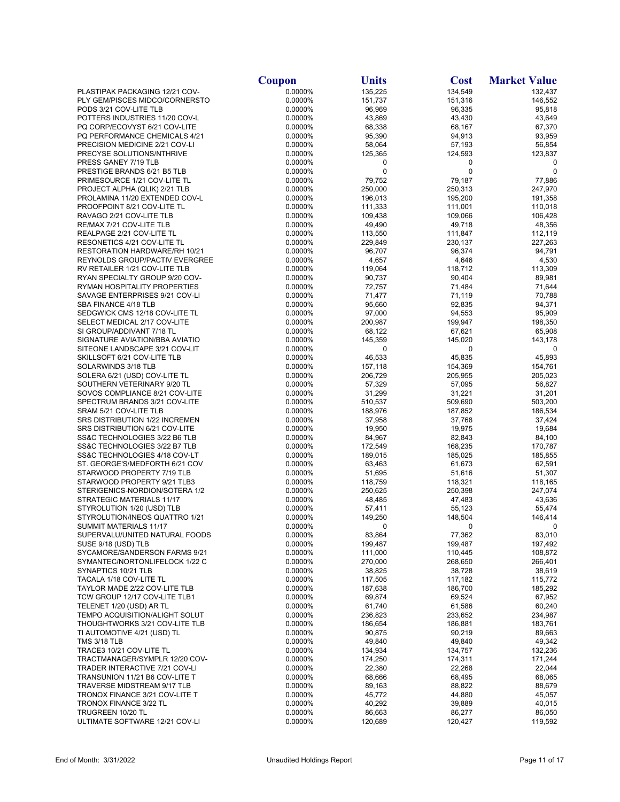|                                                             | Coupon             | <b>Units</b>      | <b>Cost</b>       | <b>Market Value</b> |
|-------------------------------------------------------------|--------------------|-------------------|-------------------|---------------------|
| PLASTIPAK PACKAGING 12/21 COV-                              | 0.0000%            | 135,225           | 134,549           | 132,437             |
| PLY GEM/PISCES MIDCO/CORNERSTO                              | 0.0000%            | 151,737           | 151,316           | 146,552             |
| PODS 3/21 COV-LITE TLB                                      | 0.0000%            | 96,969            | 96,335            | 95,818              |
| POTTERS INDUSTRIES 11/20 COV-L                              | 0.0000%            | 43,869            | 43,430            | 43,649              |
| PQ CORP/ECOVYST 6/21 COV-LITE                               | 0.0000%            | 68,338            | 68,167            | 67,370              |
| PQ PERFORMANCE CHEMICALS 4/21                               | 0.0000%            | 95,390            | 94,913            | 93,959              |
| PRECISION MEDICINE 2/21 COV-LI                              | 0.0000%            | 58,064            | 57,193            | 56,854              |
| PRECYSE SOLUTIONS/NTHRIVE                                   | 0.0000%            | 125,365           | 124,593           | 123,837             |
| PRESS GANEY 7/19 TLB                                        | 0.0000%            | 0                 | 0                 | 0                   |
| PRESTIGE BRANDS 6/21 B5 TLB                                 | 0.0000%            | 0                 | 0                 | 0                   |
| PRIMESOURCE 1/21 COV-LITE TL                                | 0.0000%            | 79,752            | 79,187            | 77,886              |
| PROJECT ALPHA (QLIK) 2/21 TLB                               | 0.0000%            | 250,000           | 250,313           | 247,970             |
| PROLAMINA 11/20 EXTENDED COV-L                              | 0.0000%            | 196,013           | 195,200           | 191,358             |
| PROOFPOINT 8/21 COV-LITE TL                                 | 0.0000%            | 111,333           | 111,001           | 110,018             |
| RAVAGO 2/21 COV-LITE TLB                                    | 0.0000%            | 109,438           | 109,066           | 106,428             |
| RE/MAX 7/21 COV-LITE TLB                                    | 0.0000%            | 49,490            | 49,718            | 48,356              |
| REALPAGE 2/21 COV-LITE TL                                   | 0.0000%            | 113,550           | 111,847           | 112,119             |
| RESONETICS 4/21 COV-LITE TL                                 | 0.0000%            | 229,849           | 230,137           | 227,263             |
| RESTORATION HARDWARE/RH 10/21                               | 0.0000%            | 96,707            | 96,374            | 94,791              |
| REYNOLDS GROUP/PACTIV EVERGREE                              | 0.0000%            | 4,657             | 4,646             | 4,530               |
| RV RETAILER 1/21 COV-LITE TLB                               | 0.0000%            | 119,064           | 118,712           | 113,309             |
| RYAN SPECIALTY GROUP 9/20 COV-                              | 0.0000%            | 90,737            | 90,404            | 89,981              |
| RYMAN HOSPITALITY PROPERTIES                                | 0.0000%            | 72,757            | 71,484            | 71,644              |
| SAVAGE ENTERPRISES 9/21 COV-LI                              | 0.0000%            | 71,477            | 71,119            | 70,788              |
| SBA FINANCE 4/18 TLB                                        | 0.0000%            | 95,660            | 92,835            | 94,371              |
| SEDGWICK CMS 12/18 COV-LITE TL                              | 0.0000%<br>0.0000% | 97,000<br>200,987 | 94,553            | 95,909              |
| SELECT MEDICAL 2/17 COV-LITE                                |                    |                   | 199,947           | 198,350             |
| SI GROUP/ADDIVANT 7/18 TL<br>SIGNATURE AVIATION/BBA AVIATIO | 0.0000%<br>0.0000% | 68,122<br>145,359 | 67,621<br>145,020 | 65,908<br>143,178   |
| SITEONE LANDSCAPE 3/21 COV-LIT                              | 0.0000%            | 0                 | 0                 | 0                   |
| SKILLSOFT 6/21 COV-LITE TLB                                 | 0.0000%            | 46,533            | 45,835            | 45,893              |
| SOLARWINDS 3/18 TLB                                         | 0.0000%            | 157,118           | 154,369           | 154,761             |
| SOLERA 6/21 (USD) COV-LITE TL                               | 0.0000%            | 206,729           | 205,955           | 205,023             |
| SOUTHERN VETERINARY 9/20 TL                                 | 0.0000%            | 57,329            | 57,095            | 56,827              |
| SOVOS COMPLIANCE 8/21 COV-LITE                              | 0.0000%            | 31,299            | 31,221            | 31,201              |
| SPECTRUM BRANDS 3/21 COV-LITE                               | 0.0000%            | 510,537           | 509,690           | 503,200             |
| SRAM 5/21 COV-LITE TLB                                      | 0.0000%            | 188,976           | 187,852           | 186,534             |
| SRS DISTRIBUTION 1/22 INCREMEN                              | 0.0000%            | 37,958            | 37,768            | 37,424              |
| SRS DISTRIBUTION 6/21 COV-LITE                              | 0.0000%            | 19,950            | 19,975            | 19,684              |
| SS&C TECHNOLOGIES 3/22 B6 TLB                               | 0.0000%            | 84,967            | 82,843            | 84,100              |
| SS&C TECHNOLOGIES 3/22 B7 TLB                               | 0.0000%            | 172,549           | 168,235           | 170,787             |
| SS&C TECHNOLOGIES 4/18 COV-LT                               | 0.0000%            | 189,015           | 185,025           | 185,855             |
| ST. GEORGE'S/MEDFORTH 6/21 COV                              | 0.0000%            | 63,463            | 61,673            | 62,591              |
| STARWOOD PROPERTY 7/19 TLB                                  | 0.0000%            | 51,695            | 51,616            | 51,307              |
| STARWOOD PROPERTY 9/21 TLB3                                 | 0.0000%            | 118,759           | 118,321           | 118,165             |
| STERIGENICS-NORDION/SOTERA 1/2                              | 0.0000%            | 250,625           | 250,398           | 247,074             |
| STRATEGIC MATERIALS 11/17                                   | 0.0000%            | 48,485            | 47,483            | 43,636              |
| STYROLUTION 1/20 (USD) TLB                                  | 0.0000%            | 57,411            | 55,123            | 55,474              |
| STYROLUTION/INEOS QUATTRO 1/21                              | 0.0000%            | 149,250           | 148,504           | 146,414             |
| SUMMIT MATERIALS 11/17                                      | 0.0000%            | $\Omega$          | 0                 | 0                   |
| SUPERVALU/UNITED NATURAL FOODS                              | 0.0000%            | 83,864            | 77,362            | 83,010              |
| SUSE 9/18 (USD) TLB                                         | 0.0000%            | 199,487           | 199,487           | 197,492             |
| SYCAMORE/SANDERSON FARMS 9/21                               | 0.0000%            | 111,000           | 110,445           | 108,872             |
| SYMANTEC/NORTONLIFELOCK 1/22 C                              | 0.0000%            | 270,000           | 268,650           | 266,401             |
| SYNAPTICS 10/21 TLB                                         | 0.0000%            | 38,825            | 38,728            | 38,619              |
| TACALA 1/18 COV-LITE TL                                     | 0.0000%            | 117,505           | 117,182           | 115,772             |
| TAYLOR MADE 2/22 COV-LITE TLB                               | 0.0000%            | 187,638           | 186,700           | 185,292             |
| TCW GROUP 12/17 COV-LITE TLB1                               | 0.0000%<br>0.0000% | 69,874            | 69,524            | 67,952              |
| TELENET 1/20 (USD) AR TL<br>TEMPO ACQUISITION/ALIGHT SOLUT  | 0.0000%            | 61,740<br>236,823 | 61,586<br>233,652 | 60,240<br>234,987   |
| THOUGHTWORKS 3/21 COV-LITE TLB                              | 0.0000%            | 186,654           | 186,881           | 183,761             |
| TI AUTOMOTIVE 4/21 (USD) TL                                 | 0.0000%            | 90,875            | 90,219            | 89,663              |
| <b>TMS 3/18 TLB</b>                                         | 0.0000%            | 49,840            | 49,840            | 49,342              |
| TRACE3 10/21 COV-LITE TL                                    | 0.0000%            | 134,934           | 134,757           | 132,236             |
| TRACTMANAGER/SYMPLR 12/20 COV-                              | 0.0000%            | 174,250           | 174,311           | 171,244             |
| TRADER INTERACTIVE 7/21 COV-LI                              | 0.0000%            | 22,380            | 22,268            | 22,044              |
| TRANSUNION 11/21 B6 COV-LITE T                              | 0.0000%            | 68,666            | 68,495            | 68,065              |
| TRAVERSE MIDSTREAM 9/17 TLB                                 | 0.0000%            | 89,163            | 88,822            | 88,679              |
| TRONOX FINANCE 3/21 COV-LITE T                              | 0.0000%            | 45,772            | 44,880            | 45,057              |
| TRONOX FINANCE 3/22 TL                                      | 0.0000%            | 40,292            | 39,889            | 40,015              |
| TRUGREEN 10/20 TL                                           | 0.0000%            | 86,663            | 86,277            | 86,050              |
| ULTIMATE SOFTWARE 12/21 COV-LI                              | 0.0000%            | 120,689           | 120,427           | 119,592             |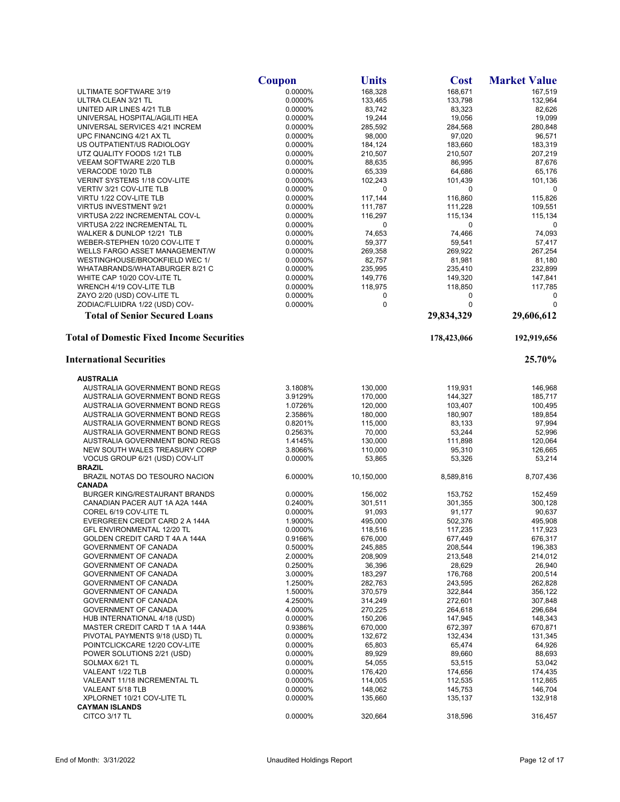|                                                                  | Coupon             | Units              | <b>Cost</b>        | <b>Market Value</b> |
|------------------------------------------------------------------|--------------------|--------------------|--------------------|---------------------|
| ULTIMATE SOFTWARE 3/19                                           | 0.0000%            | 168,328            | 168,671            | 167,519             |
| ULTRA CLEAN 3/21 TL                                              | 0.0000%            | 133,465            | 133,798            | 132,964             |
| UNITED AIR LINES 4/21 TLB                                        | 0.0000%            | 83,742             | 83,323             | 82,626              |
| UNIVERSAL HOSPITAL/AGILITI HEA                                   | 0.0000%            | 19,244             | 19,056             | 19,099<br>280,848   |
| UNIVERSAL SERVICES 4/21 INCREM<br>UPC FINANCING 4/21 AX TL       | 0.0000%<br>0.0000% | 285,592<br>98,000  | 284,568<br>97,020  | 96,571              |
| US OUTPATIENT/US RADIOLOGY                                       | 0.0000%            | 184,124            | 183,660            | 183,319             |
| UTZ QUALITY FOODS 1/21 TLB                                       | 0.0000%            | 210,507            | 210,507            | 207,219             |
| VEEAM SOFTWARE 2/20 TLB                                          | 0.0000%            | 88,635             | 86,995             | 87,676              |
| VERACODE 10/20 TLB                                               | 0.0000%            | 65,339             | 64,686             | 65,176              |
| VERINT SYSTEMS 1/18 COV-LITE                                     | 0.0000%            | 102,243            | 101,439            | 101,136             |
| VERTIV 3/21 COV-LITE TLB                                         | 0.0000%            | 0                  | 0                  | 0                   |
| VIRTU 1/22 COV-LITE TLB                                          | 0.0000%            | 117,144            | 116,860            | 115,826             |
| <b>VIRTUS INVESTMENT 9/21</b>                                    | 0.0000%            | 111,787            | 111,228            | 109,551             |
| VIRTUSA 2/22 INCREMENTAL COV-L                                   | 0.0000%            | 116,297            | 115,134            | 115,134             |
| VIRTUSA 2/22 INCREMENTAL TL<br>WALKER & DUNLOP 12/21 TLB         | 0.0000%<br>0.0000% | 0<br>74,653        | 0<br>74,466        | 0<br>74,093         |
| WEBER-STEPHEN 10/20 COV-LITE T                                   | 0.0000%            | 59,377             | 59,541             | 57,417              |
| WELLS FARGO ASSET MANAGEMENT/W                                   | 0.0000%            | 269,358            | 269,922            | 267,254             |
| WESTINGHOUSE/BROOKFIELD WEC 1/                                   | 0.0000%            | 82,757             | 81,981             | 81,180              |
| WHATABRANDS/WHATABURGER 8/21 C                                   | 0.0000%            | 235,995            | 235,410            | 232,899             |
| WHITE CAP 10/20 COV-LITE TL                                      | 0.0000%            | 149,776            | 149,320            | 147,841             |
| WRENCH 4/19 COV-LITE TLB                                         | 0.0000%            | 118,975            | 118,850            | 117,785             |
| ZAYO 2/20 (USD) COV-LITE TL                                      | 0.0000%            | 0                  | 0                  | 0                   |
| ZODIAC/FLUIDRA 1/22 (USD) COV-                                   | 0.0000%            | 0                  | $\mathbf 0$        | $\mathbf 0$         |
| <b>Total of Senior Secured Loans</b>                             |                    |                    | 29,834,329         | 29,606,612          |
| <b>Total of Domestic Fixed Income Securities</b>                 |                    |                    | 178,423,066        | 192,919,656         |
| <b>International Securities</b>                                  |                    |                    |                    | 25.70%              |
| <b>AUSTRALIA</b>                                                 |                    |                    |                    |                     |
| AUSTRALIA GOVERNMENT BOND REGS                                   | 3.1808%            | 130,000            | 119,931            | 146,968             |
| AUSTRALIA GOVERNMENT BOND REGS                                   | 3.9129%            | 170,000            | 144,327            | 185,717             |
| AUSTRALIA GOVERNMENT BOND REGS                                   | 1.0726%            | 120,000            | 103,407            | 100,495             |
| AUSTRALIA GOVERNMENT BOND REGS                                   | 2.3586%            | 180,000            | 180,907            | 189,854             |
| AUSTRALIA GOVERNMENT BOND REGS                                   | 0.8201%            | 115,000            | 83,133             | 97,994              |
| AUSTRALIA GOVERNMENT BOND REGS                                   | 0.2563%            | 70,000             | 53,244             | 52,996              |
| AUSTRALIA GOVERNMENT BOND REGS<br>NEW SOUTH WALES TREASURY CORP  | 1.4145%<br>3.8066% | 130,000<br>110,000 | 111,898<br>95,310  | 120,064<br>126,665  |
| VOCUS GROUP 6/21 (USD) COV-LIT                                   | 0.0000%            | 53,865             | 53,326             | 53,214              |
| <b>BRAZIL</b>                                                    |                    |                    |                    |                     |
| BRAZIL NOTAS DO TESOURO NACION                                   | 6.0000%            | 10,150,000         | 8,589,816          | 8,707,436           |
| <b>CANADA</b>                                                    |                    |                    |                    |                     |
| <b>BURGER KING/RESTAURANT BRANDS</b>                             | 0.0000%            | 156,002            | 153.752            | 152,459             |
| CANADIAN PACER AUT 1A A2A 144A                                   | 0.2400%            | 301,511            | 301,355            | 300,128             |
| COREL 6/19 COV-LITE TL                                           | 0.0000%            | 91,093             | 91,177             | 90,637              |
| EVERGREEN CREDIT CARD 2 A 144A<br>GFL ENVIRONMENTAL 12/20 TL     | 1.9000%<br>0.0000% | 495,000<br>118,516 | 502,376<br>117,235 | 495,908<br>117,923  |
| GOLDEN CREDIT CARD T 4A A 144A                                   | 0.9166%            | 676,000            | 677,449            | 676,317             |
| GOVERNMENT OF CANADA                                             | 0.5000%            | 245,885            | 208,544            | 196,383             |
| <b>GOVERNMENT OF CANADA</b>                                      | 2.0000%            | 208,909            | 213,548            | 214,012             |
| <b>GOVERNMENT OF CANADA</b>                                      | 0.2500%            | 36,396             | 28,629             | 26,940              |
| GOVERNMENT OF CANADA                                             | 3.0000%            | 183,297            | 176,768            | 200,514             |
| GOVERNMENT OF CANADA                                             | 1.2500%            | 282,763            | 243,595            | 262,828             |
| GOVERNMENT OF CANADA                                             | 1.5000%            | 370,579            | 322,844            | 356,122             |
| GOVERNMENT OF CANADA                                             | 4.2500%            | 314,249            | 272,601            | 307,848             |
| GOVERNMENT OF CANADA                                             | 4.0000%            | 270,225            | 264,618            | 296,684             |
| HUB INTERNATIONAL 4/18 (USD)                                     | 0.0000%            | 150,206            | 147,945            | 148,343             |
| MASTER CREDIT CARD T 1A A 144A<br>PIVOTAL PAYMENTS 9/18 (USD) TL | 0.9386%<br>0.0000% | 670,000<br>132,672 | 672,397<br>132,434 | 670,871<br>131,345  |
| POINTCLICKCARE 12/20 COV-LITE                                    | 0.0000%            | 65,803             | 65,474             | 64,926              |
| POWER SOLUTIONS 2/21 (USD)                                       | 0.0000%            | 89,929             | 89,660             | 88,693              |
| SOLMAX 6/21 TL                                                   | 0.0000%            | 54,055             | 53,515             | 53,042              |
| VALEANT 1/22 TLB                                                 | 0.0000%            | 176,420            | 174,656            | 174,435             |
| VALEANT 11/18 INCREMENTAL TL                                     | 0.0000%            | 114,005            | 112,535            | 112,865             |
| VALEANT 5/18 TLB                                                 | 0.0000%            | 148,062            | 145,753            | 146,704             |
| XPLORNET 10/21 COV-LITE TL                                       | 0.0000%            | 135,660            | 135,137            | 132,918             |
| <b>CAYMAN ISLANDS</b><br>CITCO 3/17 TL                           | 0.0000%            | 320,664            | 318,596            | 316,457             |
|                                                                  |                    |                    |                    |                     |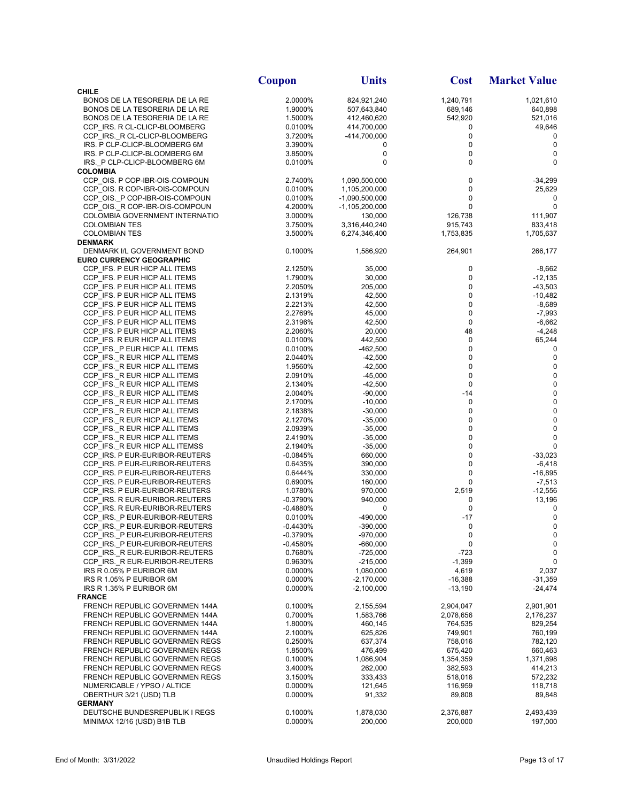|                                                                  | Coupon                   | <b>Units</b>               | <b>Cost</b>          | <b>Market Value</b>   |
|------------------------------------------------------------------|--------------------------|----------------------------|----------------------|-----------------------|
| <b>CHILE</b>                                                     |                          |                            |                      |                       |
| BONOS DE LA TESORERIA DE LA RE                                   | 2.0000%                  | 824,921,240                | 1,240,791            | 1,021,610             |
| BONOS DE LA TESORERIA DE LA RE                                   | 1.9000%                  | 507,643,840                | 689,146              | 640,898               |
| BONOS DE LA TESORERIA DE LA RE<br>CCP_IRS. R CL-CLICP-BLOOMBERG  | 1.5000%<br>0.0100%       | 412,460,620<br>414,700,000 | 542,920<br>0         | 521,016<br>49,646     |
| CCP IRS. R CL-CLICP-BLOOMBERG                                    | 3.7200%                  | -414,700,000               | 0                    | 0                     |
| IRS. P CLP-CLICP-BLOOMBERG 6M                                    | 3.3900%                  | 0                          | 0                    | 0                     |
| IRS. P CLP-CLICP-BLOOMBERG 6M                                    | 3.8500%                  | $\pmb{0}$                  | 0                    | 0                     |
| IRS. P CLP-CLICP-BLOOMBERG 6M                                    | 0.0100%                  | 0                          | 0                    | 0                     |
| <b>COLOMBIA</b><br>CCP OIS. P COP-IBR-OIS-COMPOUN                | 2.7400%                  | 1,090,500,000              | 0                    | -34,299               |
| CCP_OIS. R COP-IBR-OIS-COMPOUN                                   | 0.0100%                  | 1,105,200,000              | 0                    | 25,629                |
| CCP_OIS. P COP-IBR-OIS-COMPOUN                                   | 0.0100%                  | $-1,090,500,000$           | 0                    | 0                     |
| CCP OIS. R COP-IBR-OIS-COMPOUN                                   | 4.2000%                  | -1,105,200,000             | 0                    | 0                     |
| COLOMBIA GOVERNMENT INTERNATIO                                   | 3.0000%                  | 130,000                    | 126,738              | 111,907               |
| <b>COLOMBIAN TES</b>                                             | 3.7500%                  | 3,316,440,240              | 915,743              | 833,418               |
| <b>COLOMBIAN TES</b><br><b>DENMARK</b>                           | 3.5000%                  | 6,274,346,400              | 1,753,835            | 1,705,637             |
| DENMARK I/L GOVERNMENT BOND                                      | 0.1000%                  | 1,586,920                  | 264,901              | 266,177               |
| <b>EURO CURRENCY GEOGRAPHIC</b>                                  |                          |                            |                      |                       |
| CCP_IFS. P EUR HICP ALL ITEMS                                    | 2.1250%                  | 35,000                     | 0                    | $-8,662$              |
| CCP IFS. P EUR HICP ALL ITEMS                                    | 1.7900%                  | 30,000                     | 0                    | -12,135               |
| CCP IFS. P EUR HICP ALL ITEMS                                    | 2.2050%                  | 205,000                    | 0                    | $-43,503$             |
| CCP_IFS. P EUR HICP ALL ITEMS<br>CCP IFS. P EUR HICP ALL ITEMS   | 2.1319%<br>2.2213%       | 42,500<br>42,500           | 0<br>0               | -10,482<br>$-8,689$   |
| CCP_IFS. P EUR HICP ALL ITEMS                                    | 2.2769%                  | 45,000                     | 0                    | $-7,993$              |
| CCP_IFS. P EUR HICP ALL ITEMS                                    | 2.3196%                  | 42,500                     | 0                    | $-6,662$              |
| CCP IFS. P EUR HICP ALL ITEMS                                    | 2.2060%                  | 20,000                     | 48                   | $-4,248$              |
| CCP_IFS. R EUR HICP ALL ITEMS                                    | 0.0100%                  | 442,500                    | 0                    | 65,244                |
| CCP_IFS._P EUR HICP ALL ITEMS                                    | 0.0100%                  | $-462,500$                 | 0                    | 0                     |
| CCP_IFS._R EUR HICP ALL ITEMS<br>CCP_IFS._R EUR HICP ALL ITEMS   | 2.0440%<br>1.9560%       | $-42,500$<br>$-42,500$     | 0<br>0               | 0<br>0                |
| CCP IFS. R EUR HICP ALL ITEMS                                    | 2.0910%                  | $-45,000$                  | 0                    | 0                     |
| CCP_IFS._R EUR HICP ALL ITEMS                                    | 2.1340%                  | $-42,500$                  | $\mathbf 0$          | 0                     |
| CCP_IFS._R EUR HICP ALL ITEMS                                    | 2.0040%                  | $-90,000$                  | $-14$                | $\pmb{0}$             |
| CCP IFS. R EUR HICP ALL ITEMS                                    | 2.1700%                  | $-10,000$                  | 0                    | $\pmb{0}$             |
| CCP_IFS._R EUR HICP ALL ITEMS                                    | 2.1838%                  | $-30,000$                  | 0                    | $\pmb{0}$             |
| CCP_IFS._R EUR HICP ALL ITEMS<br>CCP IFS. R EUR HICP ALL ITEMS   | 2.1270%<br>2.0939%       | $-35,000$<br>$-35,000$     | 0<br>0               | 0<br>0                |
| CCP IFS. R EUR HICP ALL ITEMS                                    | 2.4190%                  | $-35,000$                  | 0                    | 0                     |
| CCP_IFS._R EUR HICP ALL ITEMSS                                   | 2.1940%                  | $-35,000$                  | 0                    | 0                     |
| CCP IRS. P EUR-EURIBOR-REUTERS                                   | $-0.0845%$               | 660,000                    | 0                    | -33,023               |
| CCP_IRS. P EUR-EURIBOR-REUTERS                                   | 0.6435%                  | 390,000                    | 0                    | $-6,418$              |
| CCP IRS. P EUR-EURIBOR-REUTERS                                   | 0.6444%                  | 330,000                    | 0<br>0               | -16,895               |
| CCP IRS. P EUR-EURIBOR-REUTERS<br>CCP_IRS. P EUR-EURIBOR-REUTERS | 0.6900%<br>1.0780%       | 160,000<br>970,000         | 2,519                | $-7,513$<br>$-12,556$ |
| CCP IRS. R EUR-EURIBOR-REUTERS                                   | $-0.3790%$               | 940,000                    | 0                    | 13,196                |
| CCP IRS. R EUR-EURIBOR-REUTERS                                   | $-0.4880%$               | 0                          | $\pmb{0}$            | 0                     |
| CCP IRS. P EUR-EURIBOR-REUTERS                                   | 0.0100%                  | -490,000                   | $-17$                | $\mathbf 0$           |
| CCP_IRS._P EUR-EURIBOR-REUTERS                                   | $-0.4430%$               | $-390,000$                 | $\mathbf 0$          | 0                     |
| CCP IRS. P EUR-EURIBOR-REUTERS<br>CCP_IRS._P EUR-EURIBOR-REUTERS | $-0.3790%$<br>$-0.4580%$ | $-970,000$<br>$-660,000$   | 0<br>0               | $\mathbf 0$<br>0      |
| CCP IRS. R EUR-EURIBOR-REUTERS                                   | 0.7680%                  | $-725,000$                 | $-723$               | 0                     |
| CCP IRS. R EUR-EURIBOR-REUTERS                                   | 0.9630%                  | $-215,000$                 | $-1,399$             | 0                     |
| IRS R 0.05% P EURIBOR 6M                                         | 0.0000%                  | 1,080,000                  | 4,619                | 2,037                 |
| IRS R 1.05% P EURIBOR 6M                                         | 0.0000%                  | $-2,170,000$               | -16,388              | $-31,359$             |
| IRS R 1.35% P EURIBOR 6M                                         | 0.0000%                  | $-2,100,000$               | $-13,190$            | -24,474               |
| <b>FRANCE</b><br>FRENCH REPUBLIC GOVERNMEN 144A                  | 0.1000%                  | 2,155,594                  | 2,904,047            | 2,901,901             |
| FRENCH REPUBLIC GOVERNMEN 144A                                   | 0.7000%                  | 1,583,766                  | 2,078,656            | 2,176,237             |
| FRENCH REPUBLIC GOVERNMEN 144A                                   | 1.8000%                  | 460,145                    | 764,535              | 829,254               |
| FRENCH REPUBLIC GOVERNMEN 144A                                   | 2.1000%                  | 625,826                    | 749,901              | 760,199               |
| FRENCH REPUBLIC GOVERNMEN REGS                                   | 0.2500%                  | 637,374                    | 758,016              | 782,120               |
| FRENCH REPUBLIC GOVERNMEN REGS                                   | 1.8500%                  | 476,499                    | 675,420              | 660,463               |
| FRENCH REPUBLIC GOVERNMEN REGS<br>FRENCH REPUBLIC GOVERNMEN REGS | 0.1000%<br>3.4000%       | 1,086,904<br>262,000       | 1,354,359<br>382,593 | 1,371,698<br>414,213  |
| FRENCH REPUBLIC GOVERNMEN REGS                                   | 3.1500%                  | 333,433                    | 518,016              | 572,232               |
| NUMERICABLE / YPSO / ALTICE                                      | 0.0000%                  | 121,645                    | 116,959              | 118,718               |
| OBERTHUR 3/21 (USD) TLB                                          | 0.0000%                  | 91,332                     | 89,808               | 89,848                |
| <b>GERMANY</b>                                                   |                          |                            |                      |                       |
| DEUTSCHE BUNDESREPUBLIK I REGS                                   | 0.1000%                  | 1,878,030                  | 2,376,887            | 2,493,439             |
| MINIMAX 12/16 (USD) B1B TLB                                      | 0.0000%                  | 200,000                    | 200,000              | 197,000               |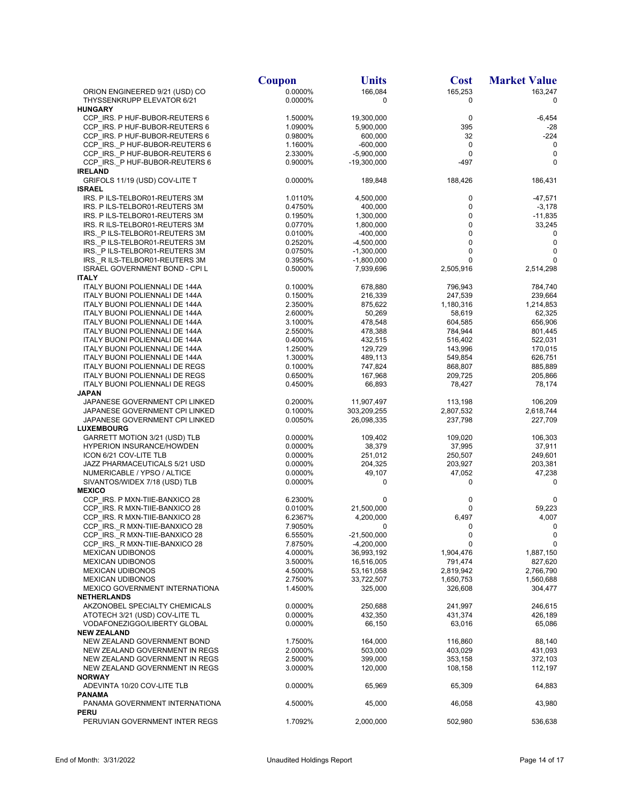|                                                                  | Coupon             | <b>Units</b>               | <b>Cost</b>          | <b>Market Value</b>  |
|------------------------------------------------------------------|--------------------|----------------------------|----------------------|----------------------|
| ORION ENGINEERED 9/21 (USD) CO                                   | 0.0000%            | 166,084                    | 165,253              | 163,247              |
| THYSSENKRUPP ELEVATOR 6/21                                       | 0.0000%            | 0                          | 0                    | 0                    |
| <b>HUNGARY</b>                                                   |                    |                            |                      |                      |
| CCP IRS. P HUF-BUBOR-REUTERS 6                                   | 1.5000%            | 19,300,000                 | 0                    | $-6,454$             |
| CCP_IRS. P HUF-BUBOR-REUTERS 6                                   | 1.0900%            | 5,900,000                  | 395                  | $-28$                |
| CCP IRS. P HUF-BUBOR-REUTERS 6<br>CCP_IRS._P HUF-BUBOR-REUTERS 6 | 0.9800%<br>1.1600% | 600,000<br>$-600,000$      | 32<br>0              | $-224$<br>0          |
| CCP IRS. P HUF-BUBOR-REUTERS 6                                   | 2.3300%            | $-5,900,000$               | 0                    | 0                    |
| CCP_IRS._P HUF-BUBOR-REUTERS 6                                   | 0.9000%            | -19,300,000                | $-497$               | 0                    |
| <b>IRELAND</b>                                                   |                    |                            |                      |                      |
| GRIFOLS 11/19 (USD) COV-LITE T                                   | 0.0000%            | 189,848                    | 188,426              | 186,431              |
| <b>ISRAEL</b>                                                    |                    |                            |                      |                      |
| IRS. P ILS-TELBOR01-REUTERS 3M                                   | 1.0110%            | 4,500,000                  | 0                    | $-47,571$            |
| IRS. P ILS-TELBOR01-REUTERS 3M                                   | 0.4750%            | 400,000                    | 0                    | $-3,178$             |
| IRS. P ILS-TELBOR01-REUTERS 3M                                   | 0.1950%            | 1,300,000                  | 0                    | $-11,835$            |
| IRS. R ILS-TELBOR01-REUTERS 3M                                   | 0.0770%            | 1,800,000                  | 0                    | 33,245               |
| IRS. P ILS-TELBOR01-REUTERS 3M<br>IRS. PILS-TELBOR01-REUTERS 3M  | 0.0100%<br>0.2520% | $-400,000$<br>$-4,500,000$ | 0<br>0               | 0<br>0               |
| IRS._P ILS-TELBOR01-REUTERS 3M                                   | 0.0750%            | $-1,300,000$               | 0                    | 0                    |
| IRS._R ILS-TELBOR01-REUTERS 3M                                   | 0.3950%            | $-1,800,000$               | 0                    | 0                    |
| ISRAEL GOVERNMENT BOND - CPI L                                   | 0.5000%            | 7,939,696                  | 2,505,916            | 2,514,298            |
| <b>ITALY</b>                                                     |                    |                            |                      |                      |
| <b>ITALY BUONI POLIENNALI DE 144A</b>                            | 0.1000%            | 678,880                    | 796,943              | 784,740              |
| ITALY BUONI POLIENNALI DE 144A                                   | 0.1500%            | 216,339                    | 247,539              | 239,664              |
| ITALY BUONI POLIENNALI DE 144A                                   | 2.3500%            | 875,622                    | 1,180,316            | 1,214,853            |
| ITALY BUONI POLIENNALI DE 144A                                   | 2.6000%            | 50,269                     | 58,619               | 62,325               |
| ITALY BUONI POLIENNALI DE 144A                                   | 3.1000%            | 478,548                    | 604,585              | 656,906              |
| ITALY BUONI POLIENNALI DE 144A                                   | 2.5500%            | 478,388                    | 784,944              | 801,445              |
| ITALY BUONI POLIENNALI DE 144A                                   | 0.4000%            | 432,515                    | 516,402              | 522,031              |
| ITALY BUONI POLIENNALI DE 144A<br>ITALY BUONI POLIENNALI DE 144A | 1.2500%<br>1.3000% | 129,729<br>489,113         | 143,996<br>549,854   | 170,015<br>626,751   |
| ITALY BUONI POLIENNALI DE REGS                                   | 0.1000%            | 747,824                    | 868,807              | 885,889              |
| ITALY BUONI POLIENNALI DE REGS                                   | 0.6500%            | 167,968                    | 209,725              | 205,866              |
| ITALY BUONI POLIENNALI DE REGS                                   | 0.4500%            | 66,893                     | 78,427               | 78,174               |
| <b>JAPAN</b>                                                     |                    |                            |                      |                      |
| JAPANESE GOVERNMENT CPI LINKED                                   | 0.2000%            | 11,907,497                 | 113,198              | 106,209              |
| JAPANESE GOVERNMENT CPI LINKED                                   | 0.1000%            | 303,209,255                | 2,807,532            | 2,618,744            |
| JAPANESE GOVERNMENT CPI LINKED                                   | 0.0050%            | 26,098,335                 | 237,798              | 227,709              |
| <b>LUXEMBOURG</b>                                                |                    |                            |                      |                      |
| GARRETT MOTION 3/21 (USD) TLB                                    | 0.0000%            | 109,402                    | 109,020              | 106,303              |
| <b>HYPERION INSURANCE/HOWDEN</b>                                 | 0.0000%            | 38,379                     | 37,995               | 37,911               |
| ICON 6/21 COV-LITE TLB<br>JAZZ PHARMACEUTICALS 5/21 USD          | 0.0000%<br>0.0000% | 251,012<br>204,325         | 250,507<br>203,927   | 249,601<br>203,381   |
| NUMERICABLE / YPSO / ALTICE                                      | 0.0000%            | 49,107                     | 47,052               | 47,238               |
| SIVANTOS/WIDEX 7/18 (USD) TLB                                    | 0.0000%            | 0                          | 0                    | 0                    |
| <b>MEXICO</b>                                                    |                    |                            |                      |                      |
| CCP IRS. P MXN-TIIE-BANXICO 28                                   | 6.2300%            | 0                          | 0                    | $\mathbf 0$          |
| CCP IRS. R MXN-TIIE-BANXICO 28                                   | 0.0100%            | 21,500,000                 | 0                    | 59,223               |
| CCP_IRS. R MXN-TIIE-BANXICO 28                                   | 6.2367%            | 4,200,000                  | 6,497                | 4,007                |
| CCP_IRS._R MXN-TIIE-BANXICO 28                                   | 7.9050%            | 0                          | 0                    | 0                    |
| CCP IRS. R MXN-TIIE-BANXICO 28                                   | 6.5550%            | $-21,500,000$              | 0                    | 0                    |
| CCP IRS. R MXN-TIIE-BANXICO 28                                   | 7.8750%            | $-4,200,000$               | 0                    | 0                    |
| <b>MEXICAN UDIBONOS</b>                                          | 4.0000%            | 36,993,192                 | 1,904,476            | 1,887,150            |
| <b>MEXICAN UDIBONOS</b><br><b>MEXICAN UDIBONOS</b>               | 3.5000%<br>4.5000% | 16,516,005<br>53,161,058   | 791,474<br>2,819,942 | 827,620<br>2,766,790 |
| <b>MEXICAN UDIBONOS</b>                                          | 2.7500%            | 33,722,507                 | 1,650,753            | 1,560,688            |
| MEXICO GOVERNMENT INTERNATIONA                                   | 1.4500%            | 325,000                    | 326,608              | 304,477              |
| <b>NETHERLANDS</b>                                               |                    |                            |                      |                      |
| AKZONOBEL SPECIALTY CHEMICALS                                    | 0.0000%            | 250,688                    | 241,997              | 246,615              |
| ATOTECH 3/21 (USD) COV-LITE TL                                   | 0.0000%            | 432,350                    | 431,374              | 426,189              |
| VODAFONEZIGGO/LIBERTY GLOBAL                                     | 0.0000%            | 66,150                     | 63,016               | 65,086               |
| <b>NEW ZEALAND</b>                                               |                    |                            |                      |                      |
| NEW ZEALAND GOVERNMENT BOND                                      | 1.7500%            | 164,000                    | 116,860              | 88,140               |
| NEW ZEALAND GOVERNMENT IN REGS                                   | 2.0000%            | 503,000                    | 403,029              | 431,093              |
| NEW ZEALAND GOVERNMENT IN REGS                                   | 2.5000%            | 399,000                    | 353,158              | 372,103              |
| NEW ZEALAND GOVERNMENT IN REGS                                   | 3.0000%            | 120,000                    | 108,158              | 112,197              |
| <b>NORWAY</b><br>ADEVINTA 10/20 COV-LITE TLB                     | 0.0000%            | 65,969                     | 65,309               | 64,883               |
| <b>PANAMA</b>                                                    |                    |                            |                      |                      |
| PANAMA GOVERNMENT INTERNATIONA                                   | 4.5000%            | 45,000                     | 46,058               | 43,980               |
| <b>PERU</b>                                                      |                    |                            |                      |                      |
| PERUVIAN GOVERNMENT INTER REGS                                   | 1.7092%            | 2,000,000                  | 502,980              | 536,638              |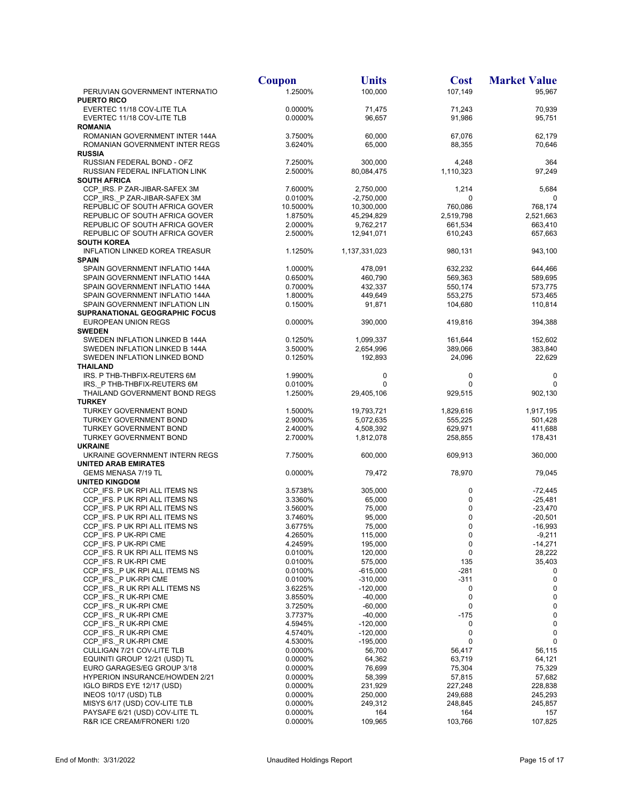|                                                                     | <b>Coupon</b>      | <b>Units</b>             | <b>Cost</b>          | <b>Market Value</b>    |
|---------------------------------------------------------------------|--------------------|--------------------------|----------------------|------------------------|
| PERUVIAN GOVERNMENT INTERNATIO                                      | 1.2500%            | 100,000                  | 107,149              | 95,967                 |
| <b>PUERTO RICO</b>                                                  |                    |                          |                      |                        |
| EVERTEC 11/18 COV-LITE TLA                                          | 0.0000%            | 71,475                   | 71,243               | 70,939                 |
| EVERTEC 11/18 COV-LITE TLB                                          | 0.0000%            | 96,657                   | 91,986               | 95,751                 |
| <b>ROMANIA</b>                                                      |                    |                          |                      |                        |
| ROMANIAN GOVERNMENT INTER 144A<br>ROMANIAN GOVERNMENT INTER REGS    | 3.7500%<br>3.6240% | 60,000<br>65,000         | 67,076<br>88,355     | 62,179<br>70,646       |
| <b>RUSSIA</b>                                                       |                    |                          |                      |                        |
| RUSSIAN FEDERAL BOND - OFZ                                          | 7.2500%            | 300,000                  | 4,248                | 364                    |
| RUSSIAN FEDERAL INFLATION LINK                                      | 2.5000%            | 80,084,475               | 1,110,323            | 97,249                 |
| <b>SOUTH AFRICA</b>                                                 |                    |                          |                      |                        |
| CCP IRS. P ZAR-JIBAR-SAFEX 3M                                       | 7.6000%            | 2,750,000                | 1,214                | 5,684                  |
| CCP IRS. P ZAR-JIBAR-SAFEX 3M                                       | 0.0100%            | $-2,750,000$             | 0                    | 0                      |
| REPUBLIC OF SOUTH AFRICA GOVER                                      | 10.5000%           | 10,300,000               | 760,086              | 768,174                |
| REPUBLIC OF SOUTH AFRICA GOVER                                      | 1.8750%            | 45,294,829               | 2,519,798            | 2,521,663              |
| REPUBLIC OF SOUTH AFRICA GOVER<br>REPUBLIC OF SOUTH AFRICA GOVER    | 2.0000%<br>2.5000% | 9,762,217<br>12,941,071  | 661,534<br>610,243   | 663,410<br>657,663     |
| <b>SOUTH KOREA</b>                                                  |                    |                          |                      |                        |
| <b>INFLATION LINKED KOREA TREASUR</b>                               | 1.1250%            | 1,137,331,023            | 980,131              | 943,100                |
| <b>SPAIN</b>                                                        |                    |                          |                      |                        |
| SPAIN GOVERNMENT INFLATIO 144A                                      | 1.0000%            | 478,091                  | 632,232              | 644,466                |
| SPAIN GOVERNMENT INFLATIO 144A                                      | 0.6500%            | 460,790                  | 569,363              | 589,695                |
| SPAIN GOVERNMENT INFLATIO 144A                                      | 0.7000%            | 432,337                  | 550,174              | 573,775                |
| SPAIN GOVERNMENT INFLATIO 144A                                      | 1.8000%            | 449,649                  | 553,275              | 573,465                |
| SPAIN GOVERNMENT INFLATION LIN                                      | 0.1500%            | 91,871                   | 104,680              | 110,814                |
| SUPRANATIONAL GEOGRAPHIC FOCUS<br>EUROPEAN UNION REGS               | 0.0000%            | 390,000                  | 419,816              | 394,388                |
| <b>SWEDEN</b>                                                       |                    |                          |                      |                        |
| SWEDEN INFLATION LINKED B 144A                                      | 0.1250%            | 1,099,337                | 161,644              | 152,602                |
| SWEDEN INFLATION LINKED B 144A                                      | 3.5000%            | 2,654,996                | 389,066              | 383,840                |
| SWEDEN INFLATION LINKED BOND                                        | 0.1250%            | 192,893                  | 24,096               | 22,629                 |
| THAILAND                                                            |                    |                          |                      |                        |
| IRS. P THB-THBFIX-REUTERS 6M                                        | 1.9900%            | 0                        | 0                    | $\mathbf 0$            |
| IRS. P THB-THBFIX-REUTERS 6M                                        | 0.0100%            | 0                        | 0                    | $\mathbf 0$            |
| THAILAND GOVERNMENT BOND REGS                                       | 1.2500%            | 29,405,106               | 929,515              | 902,130                |
| <b>TURKEY</b>                                                       |                    |                          |                      |                        |
| <b>TURKEY GOVERNMENT BOND</b><br>TURKEY GOVERNMENT BOND             | 1.5000%<br>2.9000% | 19,793,721<br>5,072,635  | 1,829,616<br>555,225 | 1,917,195<br>501,428   |
| <b>TURKEY GOVERNMENT BOND</b>                                       | 2.4000%            | 4,508,392                | 629,971              | 411,688                |
| <b>TURKEY GOVERNMENT BOND</b>                                       | 2.7000%            | 1,812,078                | 258,855              | 178,431                |
| <b>UKRAINE</b>                                                      |                    |                          |                      |                        |
| UKRAINE GOVERNMENT INTERN REGS                                      | 7.7500%            | 600,000                  | 609,913              | 360,000                |
| <b>UNITED ARAB EMIRATES</b>                                         |                    |                          |                      |                        |
| GEMS MENASA 7/19 TL                                                 | 0.0000%            | 79,472                   | 78,970               | 79,045                 |
| <b>UNITED KINGDOM</b>                                               |                    |                          |                      |                        |
| CCP_IFS. P UK RPI ALL ITEMS NS<br>CCP IFS. P UK RPI ALL ITEMS NS    | 3.5738%<br>3.3360% | 305,000<br>65,000        | 0<br>0               | $-72,445$<br>$-25,481$ |
| CCP IFS. P UK RPI ALL ITEMS NS                                      | 3.5600%            | 75,000                   | 0                    | $-23,470$              |
| CCP_IFS. P UK RPI ALL ITEMS NS                                      | 3.7460%            | 95,000                   | 0                    | $-20,501$              |
| CCP_IFS. P UK RPI ALL ITEMS NS                                      | 3.6775%            | 75,000                   | $\mathbf 0$          | $-16,993$              |
| CCP_IFS. P UK-RPI CME                                               | 4.2650%            | 115,000                  | 0                    | -9,211                 |
| CCP IFS. P UK-RPI CME                                               | 4.2459%            | 195,000                  | $\pmb{0}$            | $-14,271$              |
| CCP_IFS. R UK RPI ALL ITEMS NS                                      | 0.0100%            | 120,000                  | 0                    | 28,222                 |
| CCP IFS. R UK-RPI CME                                               | 0.0100%            | 575,000                  | 135                  | 35,403                 |
| CCP_IFS._P UK RPI ALL ITEMS NS                                      | 0.0100%            | $-615,000$               | -281                 | 0                      |
| CCP IFS. P UK-RPI CME                                               | 0.0100%            | $-310,000$<br>$-120,000$ | -311<br>0            | 0<br>0                 |
| CCP_IFS._R UK RPI ALL ITEMS NS<br>CCP_IFS._R UK-RPI CME             | 3.6225%<br>3.8550% | $-40,000$                | 0                    | 0                      |
| CCP_IFS._R UK-RPI CME                                               | 3.7250%            | $-60,000$                | 0                    | 0                      |
| CCP_IFS._R UK-RPI CME                                               | 3.7737%            | $-40,000$                | $-175$               | 0                      |
| CCP IFS. R UK-RPI CME                                               | 4.5945%            | $-120,000$               | 0                    | $\mathbf 0$            |
| CCP_IFS._R UK-RPI CME                                               | 4.5740%            | $-120,000$               | 0                    | 0                      |
| CCP IFS. R UK-RPI CME                                               | 4.5300%            | $-195,000$               | 0                    | $\mathbf 0$            |
| CULLIGAN 7/21 COV-LITE TLB                                          | 0.0000%            | 56,700                   | 56,417               | 56,115                 |
| EQUINITI GROUP 12/21 (USD) TL                                       | 0.0000%            | 64,362                   | 63,719               | 64,121                 |
| EURO GARAGES/EG GROUP 3/18                                          | 0.0000%            | 76,699                   | 75,304               | 75,329                 |
| <b>HYPERION INSURANCE/HOWDEN 2/21</b><br>IGLO BIRDS EYE 12/17 (USD) | 0.0000%<br>0.0000% | 58,399<br>231,929        | 57,815<br>227,248    | 57,682<br>228,838      |
| INEOS 10/17 (USD) TLB                                               | 0.0000%            | 250,000                  | 249,688              | 245,293                |
| MISYS 6/17 (USD) COV-LITE TLB                                       | 0.0000%            | 249,312                  | 248,845              | 245,857                |
| PAYSAFE 6/21 (USD) COV-LITE TL                                      | 0.0000%            | 164                      | 164                  | 157                    |
| R&R ICE CREAM/FRONERI 1/20                                          | 0.0000%            | 109,965                  | 103,766              | 107,825                |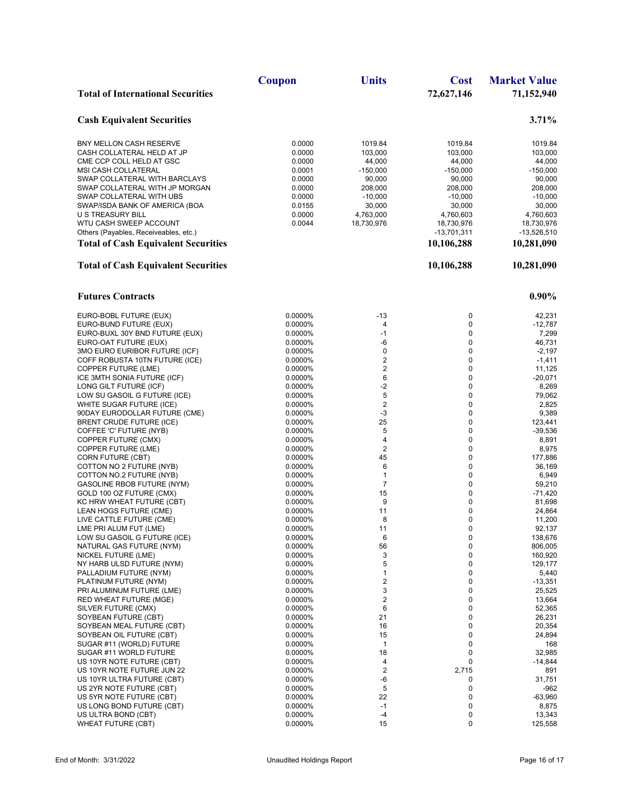|                                                                 | <b>Coupon</b>      | <b>Units</b>                    | <b>Cost</b>       | <b>Market Value</b>  |
|-----------------------------------------------------------------|--------------------|---------------------------------|-------------------|----------------------|
| <b>Total of International Securities</b>                        |                    |                                 | 72,627,146        | 71,152,940           |
| <b>Cash Equivalent Securities</b>                               |                    |                                 |                   | 3.71%                |
| BNY MELLON CASH RESERVE                                         | 0.0000             | 1019.84                         | 1019.84           | 1019.84              |
| CASH COLLATERAL HELD AT JP                                      | 0.0000             | 103,000                         | 103,000           | 103,000              |
| CME CCP COLL HELD AT GSC                                        | 0.0000             | 44,000                          | 44,000            | 44,000               |
| <b>MSI CASH COLLATERAL</b>                                      | 0.0001             | $-150,000$                      | $-150,000$        | $-150,000$           |
| SWAP COLLATERAL WITH BARCLAYS<br>SWAP COLLATERAL WITH JP MORGAN | 0.0000<br>0.0000   | 90,000<br>208,000               | 90,000<br>208,000 | 90,000<br>208,000    |
| SWAP COLLATERAL WITH UBS                                        | 0.0000             | $-10,000$                       | $-10,000$         | $-10,000$            |
| SWAP/ISDA BANK OF AMERICA (BOA                                  | 0.0155             | 30,000                          | 30,000            | 30,000               |
| U S TREASURY BILL                                               | 0.0000             | 4,763,000                       | 4,760,603         | 4,760,603            |
| WTU CASH SWEEP ACCOUNT                                          | 0.0044             | 18,730,976                      | 18,730,976        | 18,730,976           |
| Others (Payables, Receiveables, etc.)                           |                    |                                 | $-13,701,311$     | -13,526,510          |
| <b>Total of Cash Equivalent Securities</b>                      |                    |                                 | 10,106,288        | 10,281,090           |
| <b>Total of Cash Equivalent Securities</b>                      |                    |                                 | 10,106,288        | 10,281,090           |
| <b>Futures Contracts</b>                                        |                    |                                 |                   | $0.90\%$             |
| EURO-BOBL FUTURE (EUX)                                          | 0.0000%            | $-13$                           | 0                 | 42,231               |
| EURO-BUND FUTURE (EUX)                                          | 0.0000%            | 4                               | 0                 | $-12,787$            |
| EURO-BUXL 30Y BND FUTURE (EUX)                                  | 0.0000%            | $-1$                            | 0                 | 7,299                |
| EURO-OAT FUTURE (EUX)                                           | 0.0000%            | -6                              | 0                 | 46,731               |
| 3MO EURO EURIBOR FUTURE (ICF)<br>COFF ROBUSTA 10TN FUTURE (ICE) | 0.0000%<br>0.0000% | $\mathbf 0$<br>$\boldsymbol{2}$ | 0<br>0            | $-2,197$<br>$-1,411$ |
| COPPER FUTURE (LME)                                             | 0.0000%            | $\boldsymbol{2}$                | 0                 | 11,125               |
| ICE 3MTH SONIA FUTURE (ICF)                                     | 0.0000%            | 6                               | 0                 | $-20,071$            |
| LONG GILT FUTURE (ICF)                                          | 0.0000%            | $-2$                            | 0                 | 8,269                |
| LOW SU GASOIL G FUTURE (ICE)                                    | 0.0000%            | $\sqrt{5}$                      | 0                 | 79,062               |
| WHITE SUGAR FUTURE (ICE)                                        | 0.0000%            | $\sqrt{2}$<br>$-3$              | 0<br>0            | 2,825                |
| 90DAY EURODOLLAR FUTURE (CME)<br>BRENT CRUDE FUTURE (ICE)       | 0.0000%<br>0.0000% | 25                              | 0                 | 9,389<br>123,441     |
| COFFEE 'C' FUTURE (NYB)                                         | 0.0000%            | 5                               | 0                 | $-39,536$            |
| COPPER FUTURE (CMX)                                             | 0.0000%            | 4                               | 0                 | 8,891                |
| <b>COPPER FUTURE (LME)</b>                                      | 0.0000%            | $\sqrt{2}$                      | 0                 | 8,975                |
| <b>CORN FUTURE (CBT)</b>                                        | 0.0000%            | 45                              | 0                 | 177,886              |
| COTTON NO 2 FUTURE (NYB)<br>COTTON NO.2 FUTURE (NYB)            | 0.0000%<br>0.0000% | 6<br>1                          | 0<br>0            | 36,169<br>6,949      |
| GASOLINE RBOB FUTURE (NYM)                                      | 0.0000%            | $\overline{7}$                  | 0                 | 59,210               |
| GOLD 100 OZ FUTURE (CMX)                                        | 0.0000%            | 15                              | 0                 | $-71,420$            |
| KC HRW WHEAT FUTURE (CBT)                                       | 0.0000%            | 9                               | 0                 | 81,698               |
| LEAN HOGS FUTURE (CME)                                          | 0.0000%            | 11                              | 0                 | 24,864               |
| LIVE CATTLE FUTURE (CME)                                        | 0.0000%            | 8                               | 0                 | 11,200               |
| LME PRI ALUM FUT (LME)<br>LOW SU GASOIL G FUTURE (ICE)          | 0.0000%<br>0.0000% | 11<br>6                         | 0<br>0            | 92,137<br>138,676    |
| NATURAL GAS FUTURE (NYM)                                        | 0.0000%            | 56                              | 0                 | 806,005              |
| NICKEL FUTURE (LME)                                             | 0.0000%            | 3                               | 0                 | 160,920              |
| NY HARB ULSD FUTURE (NYM)                                       | 0.0000%            | 5                               | 0                 | 129,177              |
| PALLADIUM FUTURE (NYM)                                          | 0.0000%            | 1                               | 0                 | 5,440                |
| PLATINUM FUTURE (NYM)                                           | 0.0000%            | $\overline{\mathbf{c}}$<br>3    | 0<br>0            | $-13,351$            |
| PRI ALUMINUM FUTURE (LME)<br>RED WHEAT FUTURE (MGE)             | 0.0000%<br>0.0000% | $\overline{\mathbf{c}}$         | 0                 | 25,525<br>13,664     |
| SILVER FUTURE (CMX)                                             | 0.0000%            | 6                               | 0                 | 52,365               |
| SOYBEAN FUTURE (CBT)                                            | 0.0000%            | 21                              | 0                 | 26,231               |
| SOYBEAN MEAL FUTURE (CBT)                                       | 0.0000%            | 16                              | 0                 | 20,354               |
| SOYBEAN OIL FUTURE (CBT)                                        | 0.0000%            | 15                              | 0                 | 24,894               |
| SUGAR #11 (WORLD) FUTURE<br>SUGAR #11 WORLD FUTURE              | 0.0000%<br>0.0000% | $\mathbf{1}$<br>18              | 0<br>0            | 168<br>32,985        |
| US 10YR NOTE FUTURE (CBT)                                       | 0.0000%            | 4                               | 0                 | $-14,844$            |
| US 10YR NOTE FUTURE JUN 22                                      | 0.0000%            | $\overline{c}$                  | 2,715             | 891                  |
| US 10YR ULTRA FUTURE (CBT)                                      | 0.0000%            | -6                              | 0                 | 31,751               |
| US 2YR NOTE FUTURE (CBT)                                        | 0.0000%            | 5                               | 0                 | -962                 |
| US 5YR NOTE FUTURE (CBT)                                        | 0.0000%            | 22                              | 0                 | -63,960              |
| US LONG BOND FUTURE (CBT)<br>US ULTRA BOND (CBT)                | 0.0000%<br>0.0000% | $-1$<br>$-4$                    | 0<br>0            | 8,875<br>13,343      |
| <b>WHEAT FUTURE (CBT)</b>                                       | 0.0000%            | 15                              | 0                 | 125,558              |